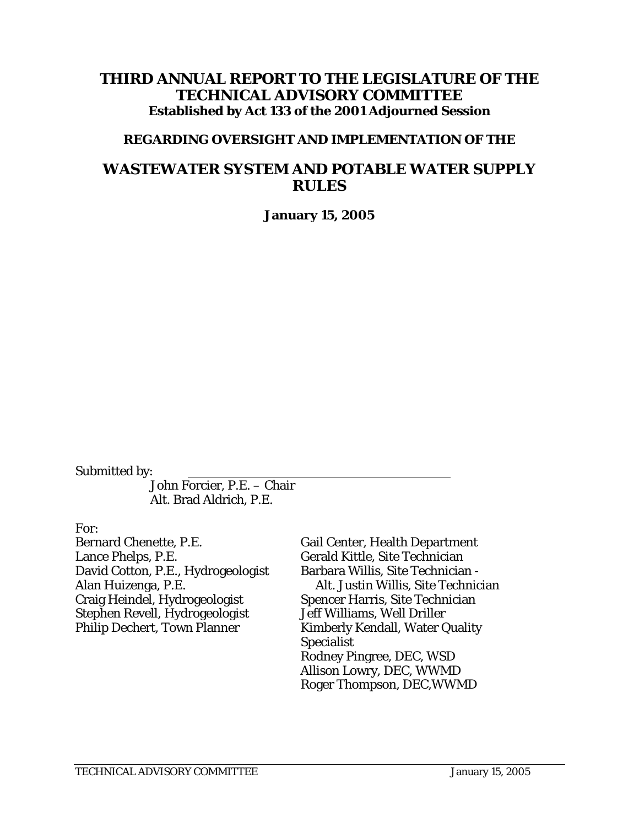### **THIRD ANNUAL REPORT TO THE LEGISLATURE OF THE TECHNICAL ADVISORY COMMITTEE Established by Act 133 of the 2001 Adjourned Session**

### **REGARDING OVERSIGHT AND IMPLEMENTATION OF THE**

# **WASTEWATER SYSTEM AND POTABLE WATER SUPPLY RULES**

**January 15, 2005** 

Submitted by:

 John Forcier, P.E. – Chair Alt. Brad Aldrich, P.E.

For:

Bernard Chenette, P.E. Lance Phelps, P.E. David Cotton, P.E., Hydrogeologist Alan Huizenga, P.E. Craig Heindel, Hydrogeologist Stephen Revell, Hydrogeologist Philip Dechert, Town Planner

Gail Center, Health Department Gerald Kittle, Site Technician Barbara Willis, Site Technician - Alt. Justin Willis, Site Technician Spencer Harris, Site Technician Jeff Williams, Well Driller Kimberly Kendall, Water Quality Specialist Rodney Pingree, DEC, WSD Allison Lowry, DEC, WWMD Roger Thompson, DEC,WWMD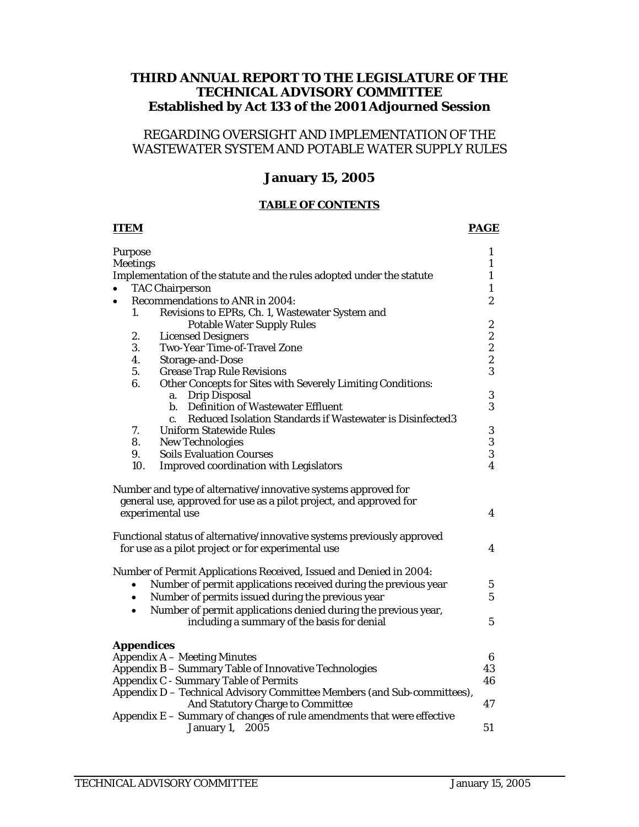### **THIRD ANNUAL REPORT TO THE LEGISLATURE OF THE TECHNICAL ADVISORY COMMITTEE Established by Act 133 of the 2001 Adjourned Session**

### REGARDING OVERSIGHT AND IMPLEMENTATION OF THE WASTEWATER SYSTEM AND POTABLE WATER SUPPLY RULES

### **January 15, 2005**

#### **TABLE OF CONTENTS**

#### **ITEM PAGE**

| Purpose           |                                                                                                                               | $\mathbf{1}$                                    |
|-------------------|-------------------------------------------------------------------------------------------------------------------------------|-------------------------------------------------|
| <b>Meetings</b>   |                                                                                                                               | $\mathbf{1}$<br>$\mathbf{1}$                    |
|                   | Implementation of the statute and the rules adopted under the statute                                                         |                                                 |
| $\bullet$         | <b>TAC Chairperson</b>                                                                                                        | $\mathbf{1}$                                    |
| $\bullet$         | Recommendations to ANR in 2004:                                                                                               | $\boldsymbol{2}$                                |
| 1.                | Revisions to EPRs, Ch. 1, Wastewater System and                                                                               |                                                 |
|                   | <b>Potable Water Supply Rules</b>                                                                                             | $\boldsymbol{2}$                                |
| 2.                | <b>Licensed Designers</b>                                                                                                     |                                                 |
| 3.                | Two-Year Time-of-Travel Zone                                                                                                  | $\begin{array}{c} 2 \\ 2 \\ 2 \\ 3 \end{array}$ |
| 4.                | Storage-and-Dose                                                                                                              |                                                 |
| 5.                | <b>Grease Trap Rule Revisions</b>                                                                                             |                                                 |
| 6.                | Other Concepts for Sites with Severely Limiting Conditions:                                                                   |                                                 |
|                   | a. Drip Disposal                                                                                                              | $\bf 3$                                         |
|                   | b. Definition of Wastewater Effluent                                                                                          | 3                                               |
|                   | Reduced Isolation Standards if Wastewater is Disinfected3<br>$c_{\cdot}$                                                      |                                                 |
| 7.                | <b>Uniform Statewide Rules</b>                                                                                                | $\boldsymbol{3}$                                |
| 8.                | <b>New Technologies</b>                                                                                                       | 3                                               |
| 9.                | <b>Soils Evaluation Courses</b>                                                                                               | $\overline{3}$                                  |
| 10.               | <b>Improved coordination with Legislators</b>                                                                                 | $\overline{\mathbf{4}}$                         |
|                   | experimental use                                                                                                              | $\boldsymbol{4}$                                |
|                   | Functional status of alternative/innovative systems previously approved<br>for use as a pilot project or for experimental use | 4                                               |
|                   | Number of Permit Applications Received, Issued and Denied in 2004:                                                            |                                                 |
|                   | Number of permit applications received during the previous year                                                               | $\bf 5$                                         |
| $\bullet$         | Number of permits issued during the previous year                                                                             | $\overline{5}$                                  |
| $\bullet$         | Number of permit applications denied during the previous year,                                                                |                                                 |
|                   | including a summary of the basis for denial                                                                                   | $\overline{5}$                                  |
| <b>Appendices</b> |                                                                                                                               |                                                 |
|                   | <b>Appendix A - Meeting Minutes</b>                                                                                           | $6\phantom{.}$                                  |
|                   | Appendix B - Summary Table of Innovative Technologies                                                                         | 43                                              |
|                   | <b>Appendix C - Summary Table of Permits</b>                                                                                  | 46                                              |
|                   | Appendix D - Technical Advisory Committee Members (and Sub-committees),<br>And Statutory Charge to Committee                  | 47                                              |
|                   | Appendix E - Summary of changes of rule amendments that were effective                                                        |                                                 |
|                   | January 1,<br>2005                                                                                                            | 51                                              |
|                   |                                                                                                                               |                                                 |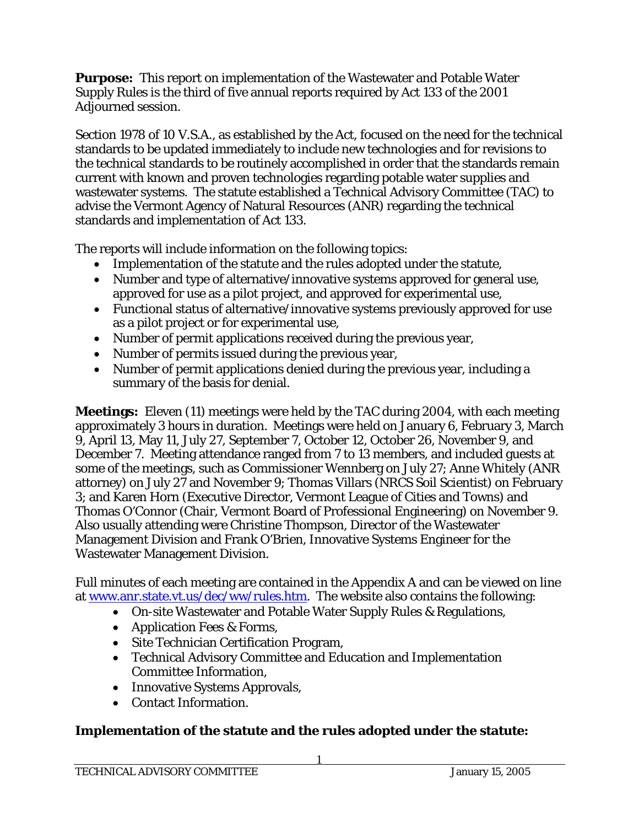**Purpose:** This report on implementation of the Wastewater and Potable Water Supply Rules is the third of five annual reports required by Act 133 of the 2001 Adjourned session.

Section 1978 of 10 V.S.A., as established by the Act, focused on the need for the technical standards to be updated immediately to include new technologies and for revisions to the technical standards to be routinely accomplished in order that the standards remain current with known and proven technologies regarding potable water supplies and wastewater systems. The statute established a Technical Advisory Committee (TAC) to advise the Vermont Agency of Natural Resources (ANR) regarding the technical standards and implementation of Act 133.

The reports will include information on the following topics:

- Implementation of the statute and the rules adopted under the statute,
- Number and type of alternative/innovative systems approved for general use, approved for use as a pilot project, and approved for experimental use,
- Functional status of alternative/innovative systems previously approved for use as a pilot project or for experimental use,
- Number of permit applications received during the previous year,
- Number of permits issued during the previous year,
- Number of permit applications denied during the previous year, including a summary of the basis for denial.

**Meetings:** Eleven (11) meetings were held by the TAC during 2004, with each meeting approximately 3 hours in duration. Meetings were held on January 6, February 3, March 9, April 13, May 11, July 27, September 7, October 12, October 26, November 9, and December 7. Meeting attendance ranged from 7 to 13 members, and included guests at some of the meetings, such as Commissioner Wennberg on July 27; Anne Whitely (ANR attorney) on July 27 and November 9; Thomas Villars (NRCS Soil Scientist) on February 3; and Karen Horn (Executive Director, Vermont League of Cities and Towns) and Thomas O'Connor (Chair, Vermont Board of Professional Engineering) on November 9. Also usually attending were Christine Thompson, Director of the Wastewater Management Division and Frank O'Brien, Innovative Systems Engineer for the Wastewater Management Division.

Full minutes of each meeting are contained in the Appendix A and can be viewed on line at www.anr.state.vt.us/dec/ww/rules.htm. The website also contains the following:

- On-site Wastewater and Potable Water Supply Rules & Regulations,
- Application Fees & Forms,
- Site Technician Certification Program,
- Technical Advisory Committee and Education and Implementation Committee Information,
- Innovative Systems Approvals,
- Contact Information.

### **Implementation of the statute and the rules adopted under the statute:**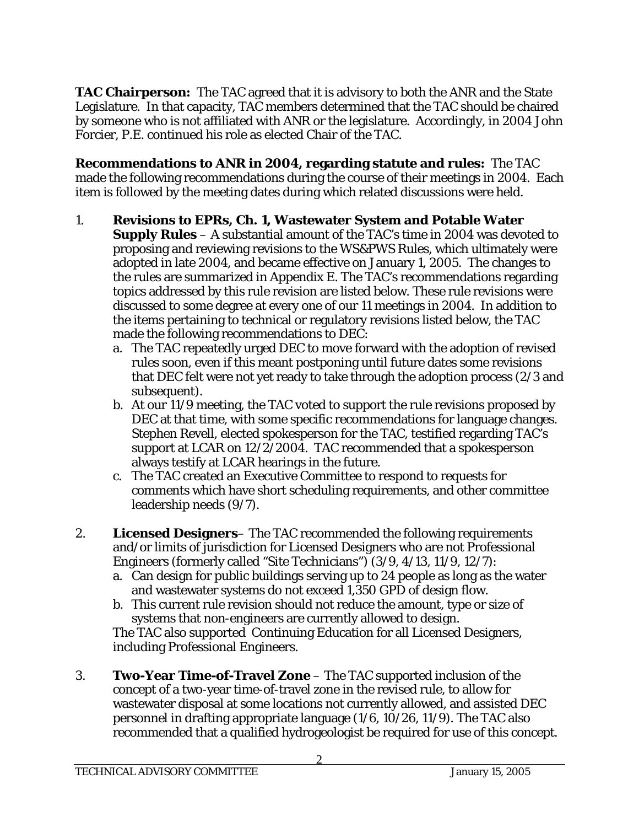**TAC Chairperson:** The TAC agreed that it is advisory to both the ANR and the State Legislature. In that capacity, TAC members determined that the TAC should be chaired by someone who is not affiliated with ANR or the legislature. Accordingly, in 2004 John Forcier, P.E. continued his role as elected Chair of the TAC.

**Recommendations to ANR in 2004, regarding statute and rules:** The TAC made the following recommendations during the course of their meetings in 2004. Each item is followed by the meeting dates during which related discussions were held.

- 1. **Revisions to EPRs, Ch. 1, Wastewater System and Potable Water Supply Rules** – A substantial amount of the TAC's time in 2004 was devoted to proposing and reviewing revisions to the WS&PWS Rules, which ultimately were adopted in late 2004, and became effective on January 1, 2005. The changes to the rules are summarized in Appendix E. The TAC's recommendations regarding topics addressed by this rule revision are listed below. These rule revisions were discussed to some degree at every one of our 11 meetings in 2004. In addition to the items pertaining to technical or regulatory revisions listed below, the TAC made the following recommendations to DEC:
	- a. The TAC repeatedly urged DEC to move forward with the adoption of revised rules soon, even if this meant postponing until future dates some revisions that DEC felt were not yet ready to take through the adoption process (2/3 and subsequent).
	- b. At our 11/9 meeting, the TAC voted to support the rule revisions proposed by DEC at that time, with some specific recommendations for language changes. Stephen Revell, elected spokesperson for the TAC, testified regarding TAC's support at LCAR on 12/2/2004. TAC recommended that a spokesperson always testify at LCAR hearings in the future.
	- c. The TAC created an Executive Committee to respond to requests for comments which have short scheduling requirements, and other committee leadership needs (9/7).
- 2. **Licensed Designers** The TAC recommended the following requirements and/or limits of jurisdiction for Licensed Designers who are not Professional Engineers (formerly called "Site Technicians") (3/9, 4/13, 11/9, 12/7):
	- a. Can design for public buildings serving up to 24 people as long as the water and wastewater systems do not exceed 1,350 GPD of design flow.
	- b. This current rule revision should not reduce the amount, type or size of systems that non-engineers are currently allowed to design.

The TAC also supported Continuing Education for all Licensed Designers, including Professional Engineers.

3. **Two-Year Time-of-Travel Zone** – The TAC supported inclusion of the concept of a two-year time-of-travel zone in the revised rule, to allow for wastewater disposal at some locations not currently allowed, and assisted DEC personnel in drafting appropriate language (1/6, 10/26, 11/9). The TAC also recommended that a qualified hydrogeologist be required for use of this concept.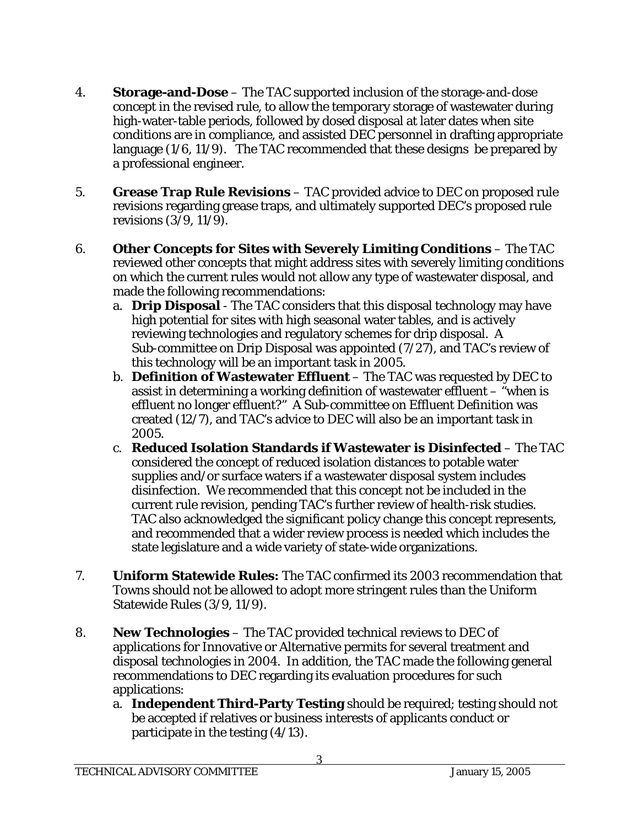- 4. **Storage-and-Dose** The TAC supported inclusion of the storage-and-dose concept in the revised rule, to allow the temporary storage of wastewater during high-water-table periods, followed by dosed disposal at later dates when site conditions are in compliance, and assisted DEC personnel in drafting appropriate language (1/6, 11/9). The TAC recommended that these designs be prepared by a professional engineer.
- 5. **Grease Trap Rule Revisions** TAC provided advice to DEC on proposed rule revisions regarding grease traps, and ultimately supported DEC's proposed rule revisions (3/9, 11/9).
- 6. **Other Concepts for Sites with Severely Limiting Conditions** The TAC reviewed other concepts that might address sites with severely limiting conditions on which the current rules would not allow any type of wastewater disposal, and made the following recommendations:
	- a. **Drip Disposal** The TAC considers that this disposal technology may have high potential for sites with high seasonal water tables, and is actively reviewing technologies and regulatory schemes for drip disposal. A Sub-committee on Drip Disposal was appointed (7/27), and TAC's review of this technology will be an important task in 2005.
	- b. **Definition of Wastewater Effluent** The TAC was requested by DEC to assist in determining a working definition of wastewater effluent – "when is effluent no longer effluent?" A Sub-committee on Effluent Definition was created (12/7), and TAC's advice to DEC will also be an important task in 2005.
	- c. **Reduced Isolation Standards if Wastewater is Disinfected** The TAC considered the concept of reduced isolation distances to potable water supplies and/or surface waters if a wastewater disposal system includes disinfection. We recommended that this concept not be included in the current rule revision, pending TAC's further review of health-risk studies. TAC also acknowledged the significant policy change this concept represents, and recommended that a wider review process is needed which includes the state legislature and a wide variety of state-wide organizations.
- 7. **Uniform Statewide Rules:** The TAC confirmed its 2003 recommendation that Towns should not be allowed to adopt more stringent rules than the Uniform Statewide Rules (3/9, 11/9).
- 8. **New Technologies** The TAC provided technical reviews to DEC of applications for Innovative or Alternative permits for several treatment and disposal technologies in 2004. In addition, the TAC made the following general recommendations to DEC regarding its evaluation procedures for such applications:
	- a. **Independent Third-Party Testing** should be required; testing should not be accepted if relatives or business interests of applicants conduct or participate in the testing (4/13).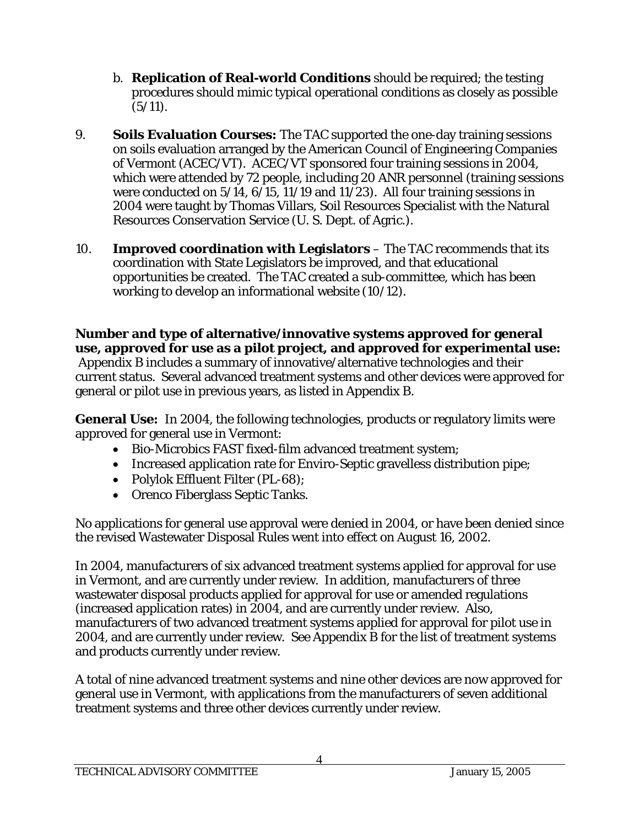- b. **Replication of Real-world Conditions** should be required; the testing procedures should mimic typical operational conditions as closely as possible  $(5/11).$
- 9. **Soils Evaluation Courses:** The TAC supported the one-day training sessions on soils evaluation arranged by the American Council of Engineering Companies of Vermont (ACEC/VT). ACEC/VT sponsored four training sessions in 2004, which were attended by 72 people, including 20 ANR personnel (training sessions were conducted on 5/14, 6/15, 11/19 and 11/23). All four training sessions in 2004 were taught by Thomas Villars, Soil Resources Specialist with the Natural Resources Conservation Service (U. S. Dept. of Agric.).
- 10. **Improved coordination with Legislators** The TAC recommends that its coordination with State Legislators be improved, and that educational opportunities be created. The TAC created a sub-committee, which has been working to develop an informational website (10/12).

**Number and type of alternative/innovative systems approved for general use, approved for use as a pilot project, and approved for experimental use:**  Appendix B includes a summary of innovative/alternative technologies and their current status. Several advanced treatment systems and other devices were approved for general or pilot use in previous years, as listed in Appendix B.

**General Use:** In 2004, the following technologies, products or regulatory limits were approved for general use in Vermont:

- Bio-Microbics FAST fixed-film advanced treatment system;
- Increased application rate for Enviro-Septic gravelless distribution pipe;
- Polylok Effluent Filter (PL-68);
- Orenco Fiberglass Septic Tanks.

No applications for general use approval were denied in 2004, or have been denied since the revised Wastewater Disposal Rules went into effect on August 16, 2002.

In 2004, manufacturers of six advanced treatment systems applied for approval for use in Vermont, and are currently under review. In addition, manufacturers of three wastewater disposal products applied for approval for use or amended regulations (increased application rates) in 2004, and are currently under review. Also, manufacturers of two advanced treatment systems applied for approval for pilot use in 2004, and are currently under review. See Appendix B for the list of treatment systems and products currently under review.

A total of nine advanced treatment systems and nine other devices are now approved for general use in Vermont, with applications from the manufacturers of seven additional treatment systems and three other devices currently under review.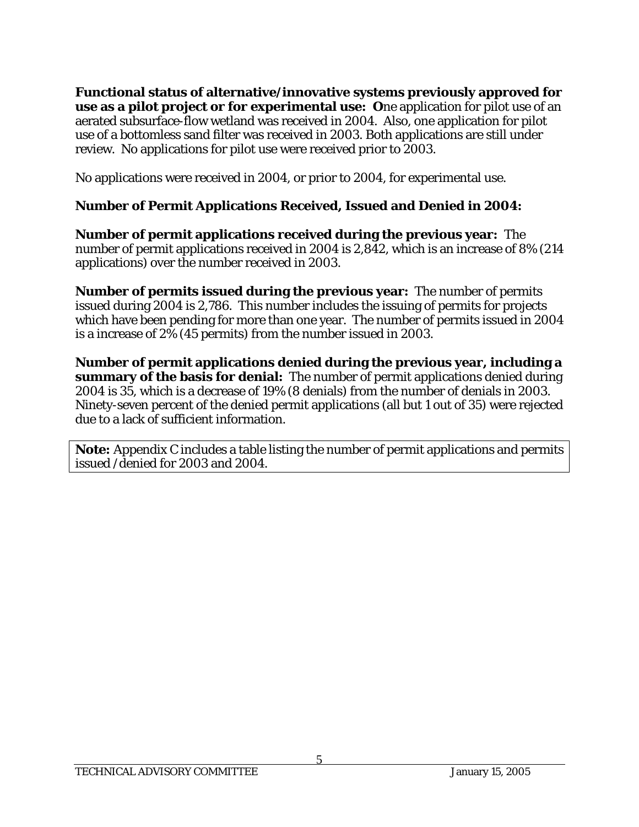**Functional status of alternative/innovative systems previously approved for use as a pilot project or for experimental use: O**ne application for pilot use of an aerated subsurface-flow wetland was received in 2004. Also, one application for pilot use of a bottomless sand filter was received in 2003. Both applications are still under review. No applications for pilot use were received prior to 2003.

No applications were received in 2004, or prior to 2004, for experimental use.

### **Number of Permit Applications Received, Issued and Denied in 2004:**

**Number of permit applications received during the previous year:** The number of permit applications received in 2004 is 2,842, which is an increase of 8% (214 applications) over the number received in 2003.

**Number of permits issued during the previous year:** The number of permits issued during 2004 is 2,786. This number includes the issuing of permits for projects which have been pending for more than one year. The number of permits issued in 2004 is a increase of 2% (45 permits) from the number issued in 2003.

**Number of permit applications denied during the previous year, including a summary of the basis for denial:** The number of permit applications denied during 2004 is 35, which is a decrease of 19% (8 denials) from the number of denials in 2003. Ninety-seven percent of the denied permit applications (all but 1 out of 35) were rejected due to a lack of sufficient information.

**Note:** Appendix C includes a table listing the number of permit applications and permits issued /denied for 2003 and 2004.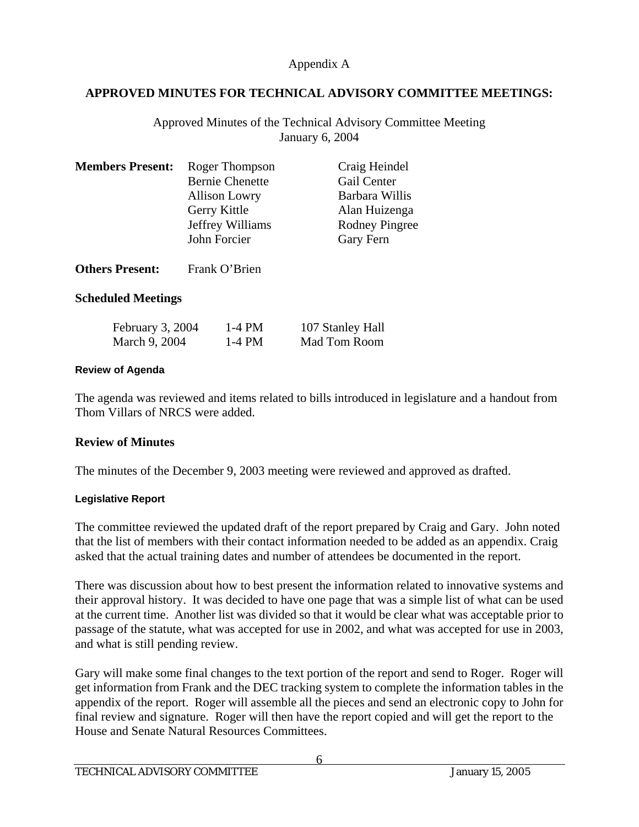### **APPROVED MINUTES FOR TECHNICAL ADVISORY COMMITTEE MEETINGS:**

Approved Minutes of the Technical Advisory Committee Meeting January 6, 2004

| <b>Members Present:</b> | Roger Thompson<br><b>Bernie Chenette</b><br><b>Allison Lowry</b><br>Gerry Kittle<br>Jeffrey Williams<br>John Forcier | Craig Heindel<br>Gail Center<br>Barbara Willis<br>Alan Huizenga<br><b>Rodney Pingree</b><br>Gary Fern |
|-------------------------|----------------------------------------------------------------------------------------------------------------------|-------------------------------------------------------------------------------------------------------|
| <b>Others Present:</b>  | Frank O'Brien                                                                                                        |                                                                                                       |

### **Scheduled Meetings**

| February 3, 2004 | 1-4 PM | 107 Stanley Hall |
|------------------|--------|------------------|
| March 9, 2004    | 1-4 PM | Mad Tom Room     |

### **Review of Agenda**

The agenda was reviewed and items related to bills introduced in legislature and a handout from Thom Villars of NRCS were added.

### **Review of Minutes**

The minutes of the December 9, 2003 meeting were reviewed and approved as drafted.

### **Legislative Report**

The committee reviewed the updated draft of the report prepared by Craig and Gary. John noted that the list of members with their contact information needed to be added as an appendix. Craig asked that the actual training dates and number of attendees be documented in the report.

There was discussion about how to best present the information related to innovative systems and their approval history. It was decided to have one page that was a simple list of what can be used at the current time. Another list was divided so that it would be clear what was acceptable prior to passage of the statute, what was accepted for use in 2002, and what was accepted for use in 2003, and what is still pending review.

Gary will make some final changes to the text portion of the report and send to Roger. Roger will get information from Frank and the DEC tracking system to complete the information tables in the appendix of the report. Roger will assemble all the pieces and send an electronic copy to John for final review and signature. Roger will then have the report copied and will get the report to the House and Senate Natural Resources Committees.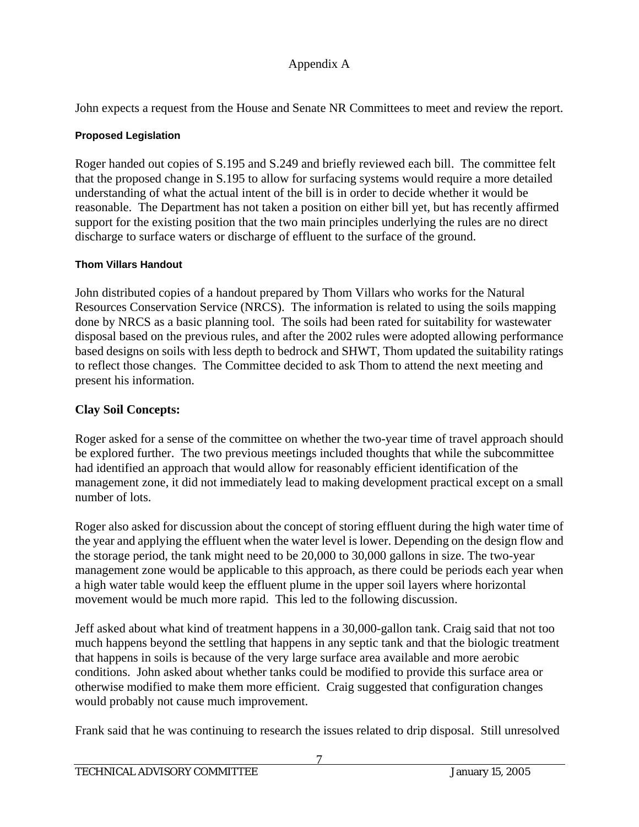John expects a request from the House and Senate NR Committees to meet and review the report.

### **Proposed Legislation**

Roger handed out copies of S.195 and S.249 and briefly reviewed each bill. The committee felt that the proposed change in S.195 to allow for surfacing systems would require a more detailed understanding of what the actual intent of the bill is in order to decide whether it would be reasonable. The Department has not taken a position on either bill yet, but has recently affirmed support for the existing position that the two main principles underlying the rules are no direct discharge to surface waters or discharge of effluent to the surface of the ground.

### **Thom Villars Handout**

John distributed copies of a handout prepared by Thom Villars who works for the Natural Resources Conservation Service (NRCS). The information is related to using the soils mapping done by NRCS as a basic planning tool. The soils had been rated for suitability for wastewater disposal based on the previous rules, and after the 2002 rules were adopted allowing performance based designs on soils with less depth to bedrock and SHWT, Thom updated the suitability ratings to reflect those changes. The Committee decided to ask Thom to attend the next meeting and present his information.

## **Clay Soil Concepts:**

Roger asked for a sense of the committee on whether the two-year time of travel approach should be explored further. The two previous meetings included thoughts that while the subcommittee had identified an approach that would allow for reasonably efficient identification of the management zone, it did not immediately lead to making development practical except on a small number of lots.

Roger also asked for discussion about the concept of storing effluent during the high water time of the year and applying the effluent when the water level is lower. Depending on the design flow and the storage period, the tank might need to be 20,000 to 30,000 gallons in size. The two-year management zone would be applicable to this approach, as there could be periods each year when a high water table would keep the effluent plume in the upper soil layers where horizontal movement would be much more rapid. This led to the following discussion.

Jeff asked about what kind of treatment happens in a 30,000-gallon tank. Craig said that not too much happens beyond the settling that happens in any septic tank and that the biologic treatment that happens in soils is because of the very large surface area available and more aerobic conditions. John asked about whether tanks could be modified to provide this surface area or otherwise modified to make them more efficient. Craig suggested that configuration changes would probably not cause much improvement.

Frank said that he was continuing to research the issues related to drip disposal. Still unresolved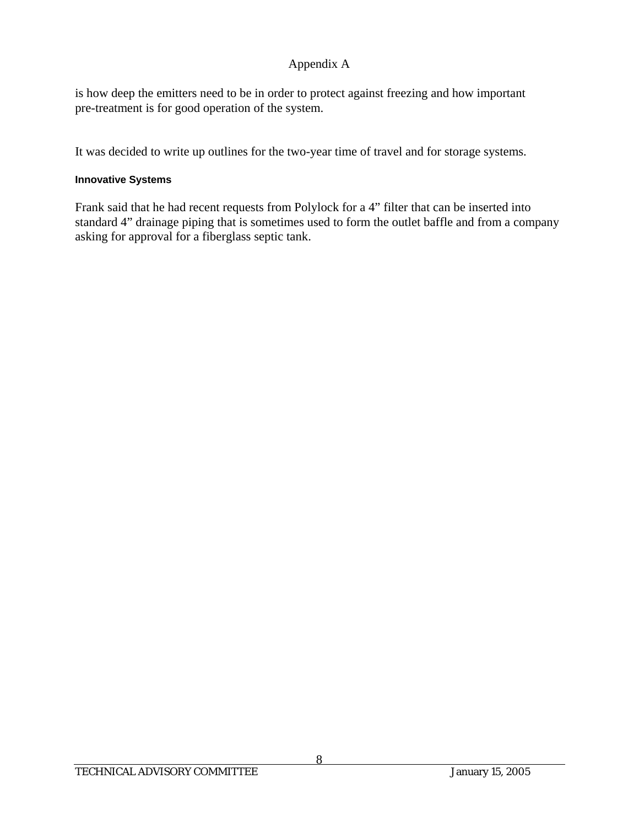is how deep the emitters need to be in order to protect against freezing and how important pre-treatment is for good operation of the system.

It was decided to write up outlines for the two-year time of travel and for storage systems.

### **Innovative Systems**

Frank said that he had recent requests from Polylock for a 4" filter that can be inserted into standard 4" drainage piping that is sometimes used to form the outlet baffle and from a company asking for approval for a fiberglass septic tank.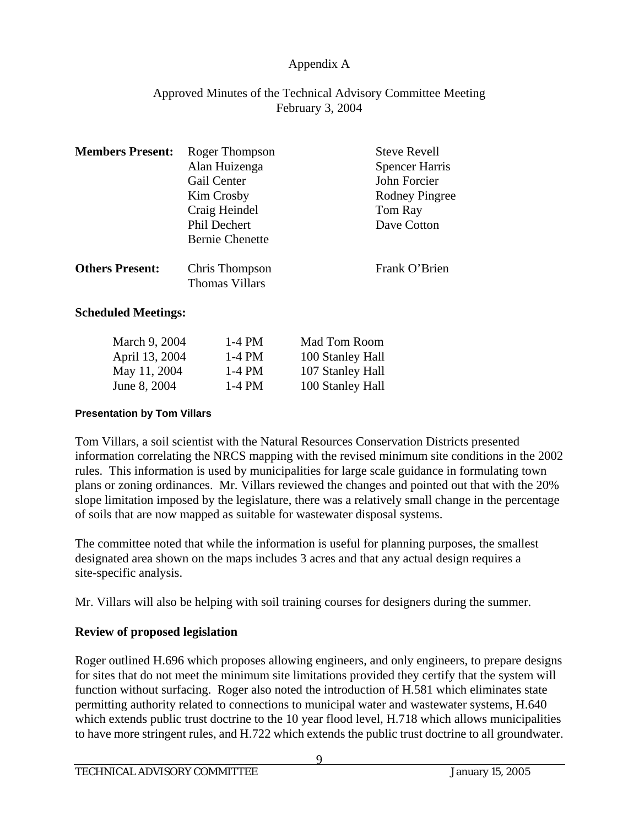### Approved Minutes of the Technical Advisory Committee Meeting February 3, 2004

| <b>Members Present:</b> | Roger Thompson                          | <b>Steve Revell</b>   |
|-------------------------|-----------------------------------------|-----------------------|
|                         | Alan Huizenga                           | <b>Spencer Harris</b> |
|                         | Gail Center                             | John Forcier          |
|                         | Kim Crosby                              | <b>Rodney Pingree</b> |
|                         | Craig Heindel                           | Tom Ray               |
|                         | Phil Dechert                            | Dave Cotton           |
|                         | <b>Bernie Chenette</b>                  |                       |
| <b>Others Present:</b>  | Chris Thompson<br><b>Thomas Villars</b> | Frank O'Brien         |

### **Scheduled Meetings:**

| March 9, 2004  | $1-4$ PM | Mad Tom Room     |
|----------------|----------|------------------|
| April 13, 2004 | $1-4$ PM | 100 Stanley Hall |
| May 11, 2004   | $1-4$ PM | 107 Stanley Hall |
| June 8, 2004   | $1-4$ PM | 100 Stanley Hall |

#### **Presentation by Tom Villars**

Tom Villars, a soil scientist with the Natural Resources Conservation Districts presented information correlating the NRCS mapping with the revised minimum site conditions in the 2002 rules. This information is used by municipalities for large scale guidance in formulating town plans or zoning ordinances. Mr. Villars reviewed the changes and pointed out that with the 20% slope limitation imposed by the legislature, there was a relatively small change in the percentage of soils that are now mapped as suitable for wastewater disposal systems.

The committee noted that while the information is useful for planning purposes, the smallest designated area shown on the maps includes 3 acres and that any actual design requires a site-specific analysis.

Mr. Villars will also be helping with soil training courses for designers during the summer.

### **Review of proposed legislation**

Roger outlined H.696 which proposes allowing engineers, and only engineers, to prepare designs for sites that do not meet the minimum site limitations provided they certify that the system will function without surfacing. Roger also noted the introduction of H.581 which eliminates state permitting authority related to connections to municipal water and wastewater systems, H.640 which extends public trust doctrine to the 10 year flood level, H.718 which allows municipalities to have more stringent rules, and H.722 which extends the public trust doctrine to all groundwater.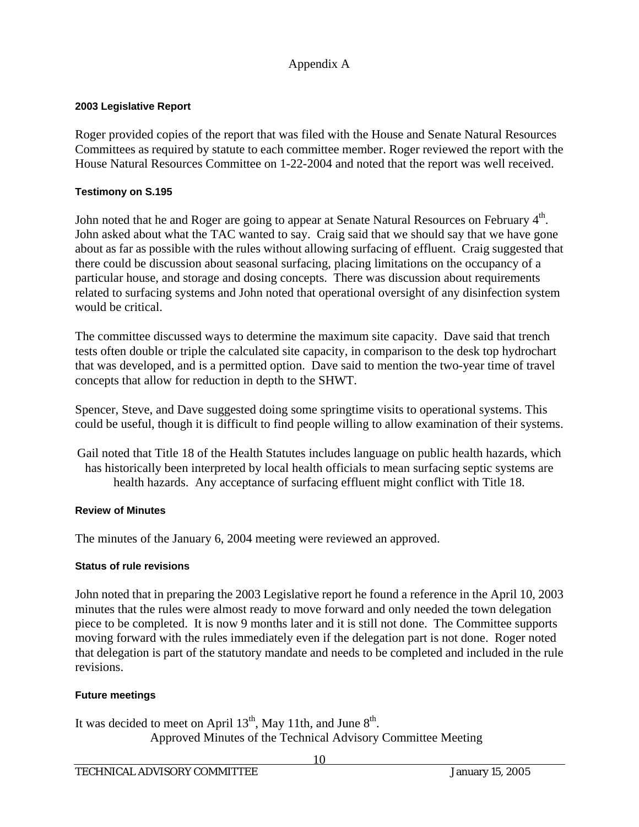### **2003 Legislative Report**

Roger provided copies of the report that was filed with the House and Senate Natural Resources Committees as required by statute to each committee member. Roger reviewed the report with the House Natural Resources Committee on 1-22-2004 and noted that the report was well received.

#### **Testimony on S.195**

John noted that he and Roger are going to appear at Senate Natural Resources on February 4<sup>th</sup>. John asked about what the TAC wanted to say. Craig said that we should say that we have gone about as far as possible with the rules without allowing surfacing of effluent. Craig suggested that there could be discussion about seasonal surfacing, placing limitations on the occupancy of a particular house, and storage and dosing concepts. There was discussion about requirements related to surfacing systems and John noted that operational oversight of any disinfection system would be critical.

The committee discussed ways to determine the maximum site capacity. Dave said that trench tests often double or triple the calculated site capacity, in comparison to the desk top hydrochart that was developed, and is a permitted option. Dave said to mention the two-year time of travel concepts that allow for reduction in depth to the SHWT.

Spencer, Steve, and Dave suggested doing some springtime visits to operational systems. This could be useful, though it is difficult to find people willing to allow examination of their systems.

Gail noted that Title 18 of the Health Statutes includes language on public health hazards, which has historically been interpreted by local health officials to mean surfacing septic systems are health hazards. Any acceptance of surfacing effluent might conflict with Title 18.

#### **Review of Minutes**

The minutes of the January 6, 2004 meeting were reviewed an approved.

### **Status of rule revisions**

John noted that in preparing the 2003 Legislative report he found a reference in the April 10, 2003 minutes that the rules were almost ready to move forward and only needed the town delegation piece to be completed. It is now 9 months later and it is still not done. The Committee supports moving forward with the rules immediately even if the delegation part is not done. Roger noted that delegation is part of the statutory mandate and needs to be completed and included in the rule revisions.

### **Future meetings**

It was decided to meet on April  $13<sup>th</sup>$ , May 11th, and June  $8<sup>th</sup>$ . Approved Minutes of the Technical Advisory Committee Meeting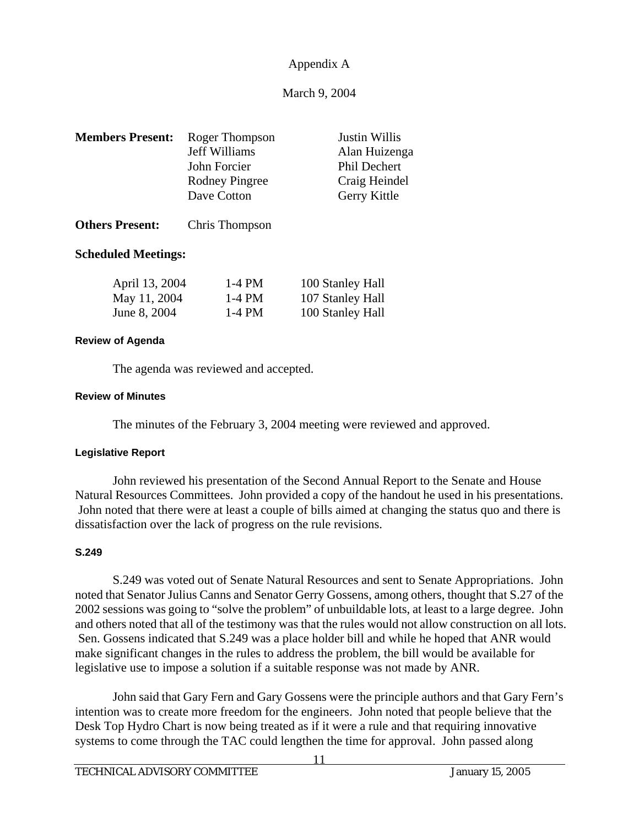### March 9, 2004

| <b>Members Present:</b> | Roger Thompson<br>Jeff Williams<br>John Forcier<br><b>Rodney Pingree</b><br>Dave Cotton | Justin Willis<br>Alan Huizenga<br>Phil Dechert<br>Craig Heindel |
|-------------------------|-----------------------------------------------------------------------------------------|-----------------------------------------------------------------|
| <b>Others Present:</b>  | Chris Thompson                                                                          | Gerry Kittle                                                    |

# **Scheduled Meetings:**

| April 13, 2004 | 1-4 PM | 100 Stanley Hall |
|----------------|--------|------------------|
| May 11, 2004   | 1-4 PM | 107 Stanley Hall |
| June 8, 2004   | 1-4 PM | 100 Stanley Hall |

#### **Review of Agenda**

The agenda was reviewed and accepted.

#### **Review of Minutes**

The minutes of the February 3, 2004 meeting were reviewed and approved.

#### **Legislative Report**

 John reviewed his presentation of the Second Annual Report to the Senate and House Natural Resources Committees. John provided a copy of the handout he used in his presentations. John noted that there were at least a couple of bills aimed at changing the status quo and there is dissatisfaction over the lack of progress on the rule revisions.

#### **S.249**

 S.249 was voted out of Senate Natural Resources and sent to Senate Appropriations. John noted that Senator Julius Canns and Senator Gerry Gossens, among others, thought that S.27 of the 2002 sessions was going to "solve the problem" of unbuildable lots, at least to a large degree. John and others noted that all of the testimony was that the rules would not allow construction on all lots. Sen. Gossens indicated that S.249 was a place holder bill and while he hoped that ANR would make significant changes in the rules to address the problem, the bill would be available for legislative use to impose a solution if a suitable response was not made by ANR.

 John said that Gary Fern and Gary Gossens were the principle authors and that Gary Fern's intention was to create more freedom for the engineers. John noted that people believe that the Desk Top Hydro Chart is now being treated as if it were a rule and that requiring innovative systems to come through the TAC could lengthen the time for approval. John passed along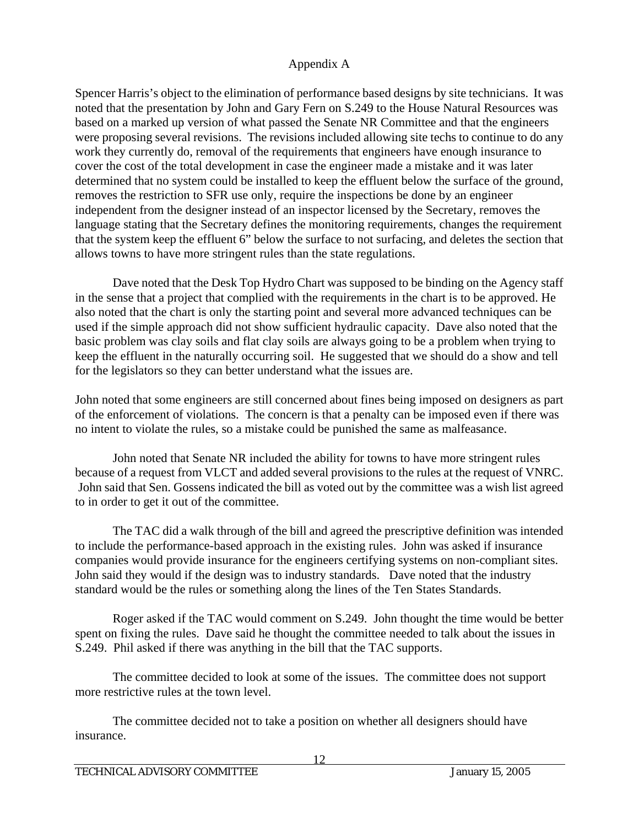Spencer Harris's object to the elimination of performance based designs by site technicians. It was noted that the presentation by John and Gary Fern on S.249 to the House Natural Resources was based on a marked up version of what passed the Senate NR Committee and that the engineers were proposing several revisions. The revisions included allowing site techs to continue to do any work they currently do, removal of the requirements that engineers have enough insurance to cover the cost of the total development in case the engineer made a mistake and it was later determined that no system could be installed to keep the effluent below the surface of the ground, removes the restriction to SFR use only, require the inspections be done by an engineer independent from the designer instead of an inspector licensed by the Secretary, removes the language stating that the Secretary defines the monitoring requirements, changes the requirement that the system keep the effluent 6" below the surface to not surfacing, and deletes the section that allows towns to have more stringent rules than the state regulations.

 Dave noted that the Desk Top Hydro Chart was supposed to be binding on the Agency staff in the sense that a project that complied with the requirements in the chart is to be approved. He also noted that the chart is only the starting point and several more advanced techniques can be used if the simple approach did not show sufficient hydraulic capacity. Dave also noted that the basic problem was clay soils and flat clay soils are always going to be a problem when trying to keep the effluent in the naturally occurring soil. He suggested that we should do a show and tell for the legislators so they can better understand what the issues are.

John noted that some engineers are still concerned about fines being imposed on designers as part of the enforcement of violations. The concern is that a penalty can be imposed even if there was no intent to violate the rules, so a mistake could be punished the same as malfeasance.

 John noted that Senate NR included the ability for towns to have more stringent rules because of a request from VLCT and added several provisions to the rules at the request of VNRC. John said that Sen. Gossens indicated the bill as voted out by the committee was a wish list agreed to in order to get it out of the committee.

 The TAC did a walk through of the bill and agreed the prescriptive definition was intended to include the performance-based approach in the existing rules. John was asked if insurance companies would provide insurance for the engineers certifying systems on non-compliant sites. John said they would if the design was to industry standards. Dave noted that the industry standard would be the rules or something along the lines of the Ten States Standards.

 Roger asked if the TAC would comment on S.249. John thought the time would be better spent on fixing the rules. Dave said he thought the committee needed to talk about the issues in S.249. Phil asked if there was anything in the bill that the TAC supports.

The committee decided to look at some of the issues. The committee does not support more restrictive rules at the town level.

The committee decided not to take a position on whether all designers should have insurance.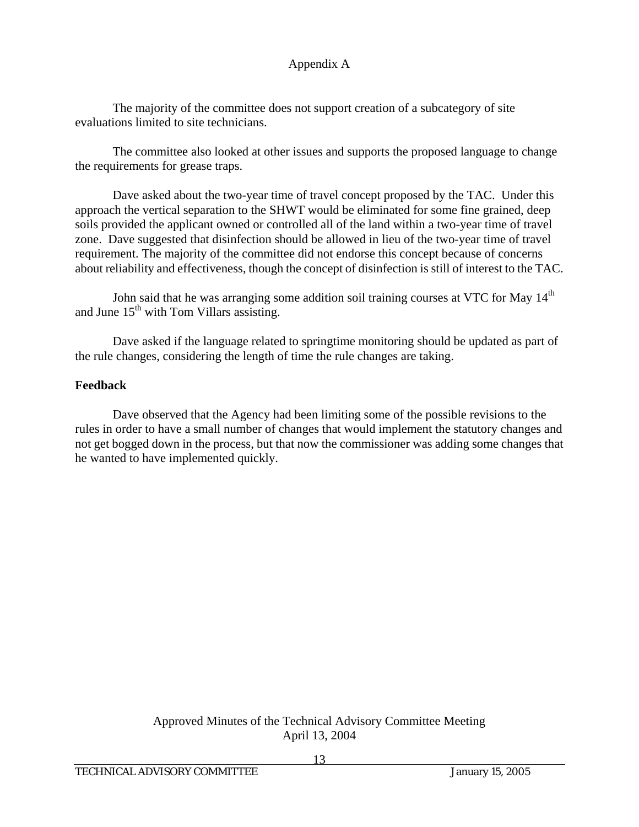The majority of the committee does not support creation of a subcategory of site evaluations limited to site technicians.

The committee also looked at other issues and supports the proposed language to change the requirements for grease traps.

Dave asked about the two-year time of travel concept proposed by the TAC. Under this approach the vertical separation to the SHWT would be eliminated for some fine grained, deep soils provided the applicant owned or controlled all of the land within a two-year time of travel zone. Dave suggested that disinfection should be allowed in lieu of the two-year time of travel requirement. The majority of the committee did not endorse this concept because of concerns about reliability and effectiveness, though the concept of disinfection is still of interest to the TAC.

John said that he was arranging some addition soil training courses at VTC for May 14<sup>th</sup> and June  $15<sup>th</sup>$  with Tom Villars assisting.

Dave asked if the language related to springtime monitoring should be updated as part of the rule changes, considering the length of time the rule changes are taking.

### **Feedback**

 Dave observed that the Agency had been limiting some of the possible revisions to the rules in order to have a small number of changes that would implement the statutory changes and not get bogged down in the process, but that now the commissioner was adding some changes that he wanted to have implemented quickly.

### Approved Minutes of the Technical Advisory Committee Meeting April 13, 2004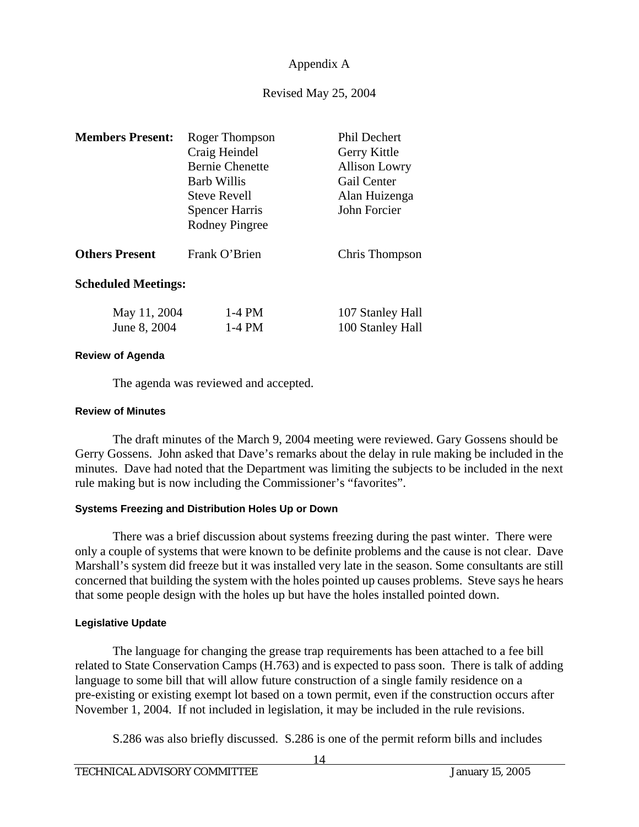### Revised May 25, 2004

| <b>Members Present:</b>      | Roger Thompson<br>Craig Heindel<br><b>Bernie Chenette</b><br><b>Barb Willis</b><br><b>Steve Revell</b><br><b>Spencer Harris</b><br><b>Rodney Pingree</b> | <b>Phil Dechert</b><br>Gerry Kittle<br><b>Allison Lowry</b><br>Gail Center<br>Alan Huizenga<br>John Forcier |
|------------------------------|----------------------------------------------------------------------------------------------------------------------------------------------------------|-------------------------------------------------------------------------------------------------------------|
| <b>Others Present</b>        | Frank O'Brien                                                                                                                                            | Chris Thompson                                                                                              |
| <b>Scheduled Meetings:</b>   |                                                                                                                                                          |                                                                                                             |
| May 11, 2004<br>June 8, 2004 | $1-4$ PM<br>$1-4$ PM                                                                                                                                     | 107 Stanley Hall<br>100 Stanley Hall                                                                        |

#### **Review of Agenda**

The agenda was reviewed and accepted.

#### **Review of Minutes**

 The draft minutes of the March 9, 2004 meeting were reviewed. Gary Gossens should be Gerry Gossens. John asked that Dave's remarks about the delay in rule making be included in the minutes. Dave had noted that the Department was limiting the subjects to be included in the next rule making but is now including the Commissioner's "favorites".

### **Systems Freezing and Distribution Holes Up or Down**

 There was a brief discussion about systems freezing during the past winter. There were only a couple of systems that were known to be definite problems and the cause is not clear. Dave Marshall's system did freeze but it was installed very late in the season. Some consultants are still concerned that building the system with the holes pointed up causes problems. Steve says he hears that some people design with the holes up but have the holes installed pointed down.

### **Legislative Update**

 The language for changing the grease trap requirements has been attached to a fee bill related to State Conservation Camps (H.763) and is expected to pass soon. There is talk of adding language to some bill that will allow future construction of a single family residence on a pre-existing or existing exempt lot based on a town permit, even if the construction occurs after November 1, 2004. If not included in legislation, it may be included in the rule revisions.

S.286 was also briefly discussed. S.286 is one of the permit reform bills and includes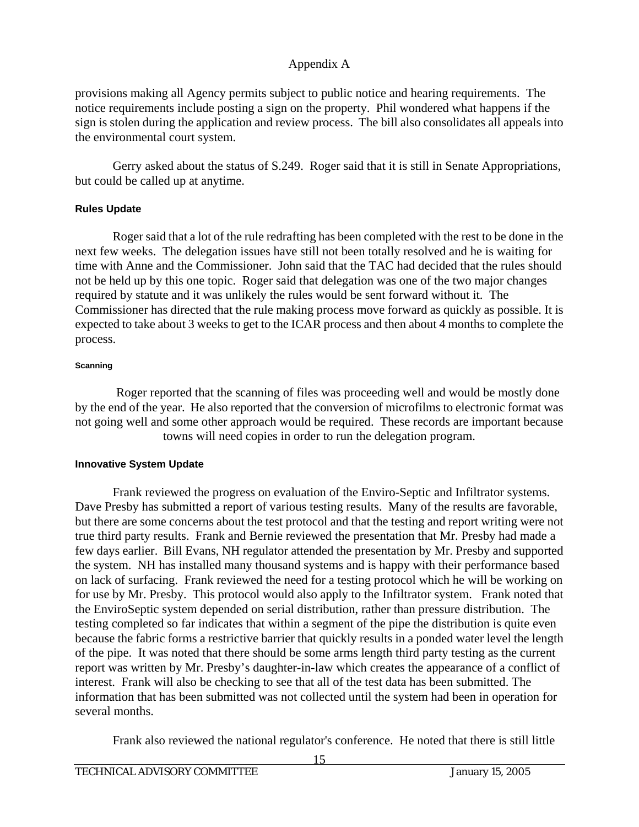provisions making all Agency permits subject to public notice and hearing requirements. The notice requirements include posting a sign on the property. Phil wondered what happens if the sign is stolen during the application and review process. The bill also consolidates all appeals into the environmental court system.

Gerry asked about the status of S.249. Roger said that it is still in Senate Appropriations, but could be called up at anytime.

### **Rules Update**

 Roger said that a lot of the rule redrafting has been completed with the rest to be done in the next few weeks. The delegation issues have still not been totally resolved and he is waiting for time with Anne and the Commissioner. John said that the TAC had decided that the rules should not be held up by this one topic. Roger said that delegation was one of the two major changes required by statute and it was unlikely the rules would be sent forward without it. The Commissioner has directed that the rule making process move forward as quickly as possible. It is expected to take about 3 weeks to get to the ICAR process and then about 4 months to complete the process.

#### **Scanning**

 Roger reported that the scanning of files was proceeding well and would be mostly done by the end of the year. He also reported that the conversion of microfilms to electronic format was not going well and some other approach would be required. These records are important because towns will need copies in order to run the delegation program.

### **Innovative System Update**

 Frank reviewed the progress on evaluation of the Enviro-Septic and Infiltrator systems. Dave Presby has submitted a report of various testing results. Many of the results are favorable, but there are some concerns about the test protocol and that the testing and report writing were not true third party results. Frank and Bernie reviewed the presentation that Mr. Presby had made a few days earlier. Bill Evans, NH regulator attended the presentation by Mr. Presby and supported the system. NH has installed many thousand systems and is happy with their performance based on lack of surfacing. Frank reviewed the need for a testing protocol which he will be working on for use by Mr. Presby. This protocol would also apply to the Infiltrator system. Frank noted that the EnviroSeptic system depended on serial distribution, rather than pressure distribution. The testing completed so far indicates that within a segment of the pipe the distribution is quite even because the fabric forms a restrictive barrier that quickly results in a ponded water level the length of the pipe. It was noted that there should be some arms length third party testing as the current report was written by Mr. Presby's daughter-in-law which creates the appearance of a conflict of interest. Frank will also be checking to see that all of the test data has been submitted. The information that has been submitted was not collected until the system had been in operation for several months.

Frank also reviewed the national regulator's conference. He noted that there is still little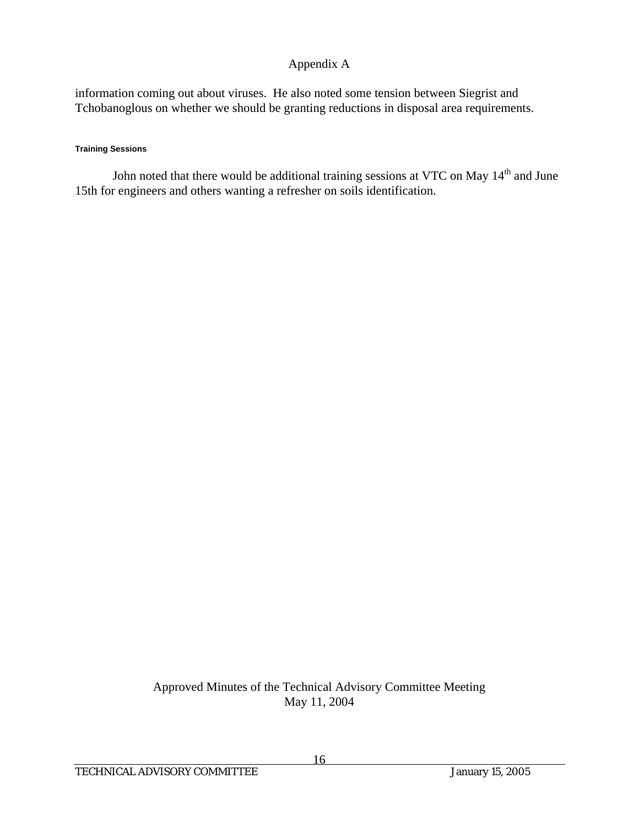information coming out about viruses. He also noted some tension between Siegrist and Tchobanoglous on whether we should be granting reductions in disposal area requirements.

#### **Training Sessions**

John noted that there would be additional training sessions at VTC on May 14<sup>th</sup> and June 15th for engineers and others wanting a refresher on soils identification.

> Approved Minutes of the Technical Advisory Committee Meeting May 11, 2004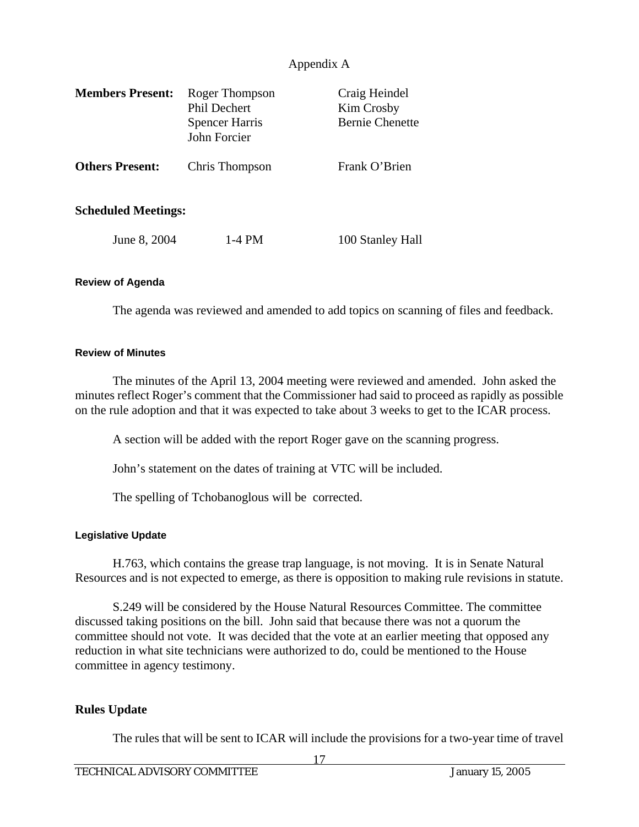| <b>Members Present:</b>    | Roger Thompson<br><b>Phil Dechert</b><br><b>Spencer Harris</b><br>John Forcier | Craig Heindel<br>Kim Crosby<br><b>Bernie Chenette</b> |
|----------------------------|--------------------------------------------------------------------------------|-------------------------------------------------------|
| <b>Others Present:</b>     | Chris Thompson                                                                 | Frank O'Brien                                         |
| <b>Scheduled Meetings:</b> |                                                                                |                                                       |
| June 8, 2004               | 1-4 PM                                                                         | 100 Stanley Hall                                      |

#### **Review of Agenda**

The agenda was reviewed and amended to add topics on scanning of files and feedback.

#### **Review of Minutes**

 The minutes of the April 13, 2004 meeting were reviewed and amended. John asked the minutes reflect Roger's comment that the Commissioner had said to proceed as rapidly as possible on the rule adoption and that it was expected to take about 3 weeks to get to the ICAR process.

A section will be added with the report Roger gave on the scanning progress.

John's statement on the dates of training at VTC will be included.

The spelling of Tchobanoglous will be corrected.

#### **Legislative Update**

 H.763, which contains the grease trap language, is not moving. It is in Senate Natural Resources and is not expected to emerge, as there is opposition to making rule revisions in statute.

 S.249 will be considered by the House Natural Resources Committee. The committee discussed taking positions on the bill. John said that because there was not a quorum the committee should not vote. It was decided that the vote at an earlier meeting that opposed any reduction in what site technicians were authorized to do, could be mentioned to the House committee in agency testimony.

### **Rules Update**

The rules that will be sent to ICAR will include the provisions for a two-year time of travel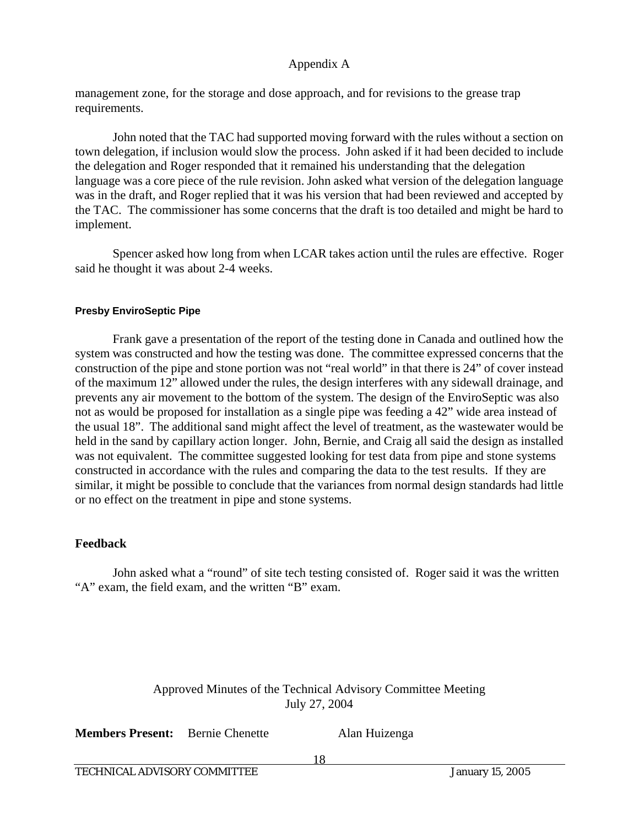management zone, for the storage and dose approach, and for revisions to the grease trap requirements.

 John noted that the TAC had supported moving forward with the rules without a section on town delegation, if inclusion would slow the process. John asked if it had been decided to include the delegation and Roger responded that it remained his understanding that the delegation language was a core piece of the rule revision. John asked what version of the delegation language was in the draft, and Roger replied that it was his version that had been reviewed and accepted by the TAC. The commissioner has some concerns that the draft is too detailed and might be hard to implement.

 Spencer asked how long from when LCAR takes action until the rules are effective. Roger said he thought it was about 2-4 weeks.

### **Presby EnviroSeptic Pipe**

 Frank gave a presentation of the report of the testing done in Canada and outlined how the system was constructed and how the testing was done. The committee expressed concerns that the construction of the pipe and stone portion was not "real world" in that there is 24" of cover instead of the maximum 12" allowed under the rules, the design interferes with any sidewall drainage, and prevents any air movement to the bottom of the system. The design of the EnviroSeptic was also not as would be proposed for installation as a single pipe was feeding a 42" wide area instead of the usual 18". The additional sand might affect the level of treatment, as the wastewater would be held in the sand by capillary action longer. John, Bernie, and Craig all said the design as installed was not equivalent. The committee suggested looking for test data from pipe and stone systems constructed in accordance with the rules and comparing the data to the test results. If they are similar, it might be possible to conclude that the variances from normal design standards had little or no effect on the treatment in pipe and stone systems.

### **Feedback**

 John asked what a "round" of site tech testing consisted of. Roger said it was the written "A" exam, the field exam, and the written "B" exam.

### Approved Minutes of the Technical Advisory Committee Meeting July 27, 2004

**Members Present:** Bernie Chenette Alan Huizenga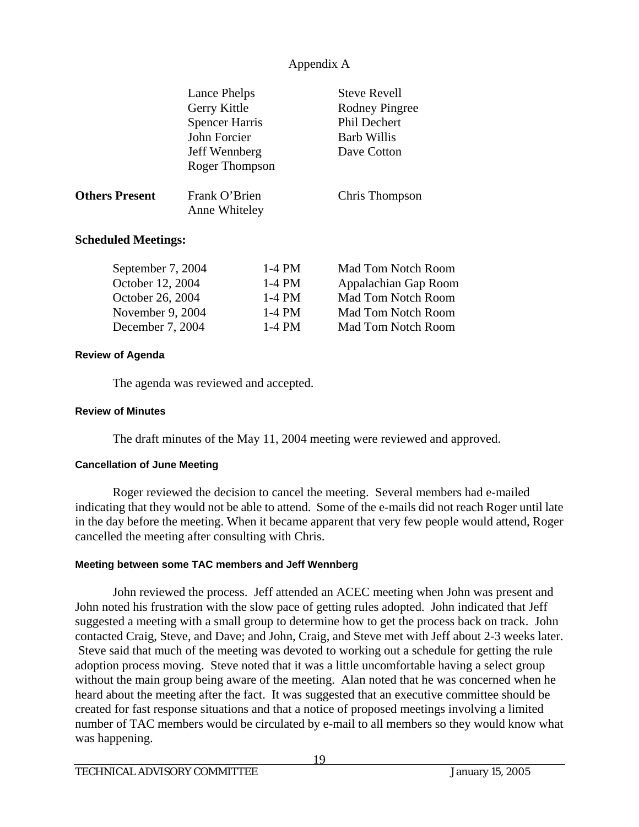|                                                                       | Lance Phelps<br>Gerry Kittle<br><b>Spencer Harris</b><br>John Forcier<br>Jeff Wennberg<br>Roger Thompson |                                                                                                                                                                                                                                                                                                                                                                                                                                               | <b>Steve Revell</b><br>Rodney Pingree<br><b>Phil Dechert</b><br><b>Barb Willis</b><br>Dave Cotton |
|-----------------------------------------------------------------------|----------------------------------------------------------------------------------------------------------|-----------------------------------------------------------------------------------------------------------------------------------------------------------------------------------------------------------------------------------------------------------------------------------------------------------------------------------------------------------------------------------------------------------------------------------------------|---------------------------------------------------------------------------------------------------|
| <b>Others Present</b>                                                 | Frank O'Brien<br>Anne Whiteley                                                                           |                                                                                                                                                                                                                                                                                                                                                                                                                                               | Chris Thompson                                                                                    |
| <b>Scheduled Meetings:</b>                                            |                                                                                                          |                                                                                                                                                                                                                                                                                                                                                                                                                                               |                                                                                                   |
| September 7, 2004<br>$\sim$ $\sim$ $\sim$ $\sim$ $\sim$ $\sim$ $\sim$ |                                                                                                          | $1-4$ PM<br>$\overline{ }$ $\overline{ }$ $\overline{ }$ $\overline{ }$ $\overline{ }$ $\overline{ }$ $\overline{ }$ $\overline{ }$ $\overline{ }$ $\overline{ }$ $\overline{ }$ $\overline{ }$ $\overline{ }$ $\overline{ }$ $\overline{ }$ $\overline{ }$ $\overline{ }$ $\overline{ }$ $\overline{ }$ $\overline{ }$ $\overline{ }$ $\overline{ }$ $\overline{ }$ $\overline{ }$ $\overline{ }$ $\overline{ }$ $\overline{ }$ $\overline{$ | Mad Tom Notch Room                                                                                |

| $\omega \nu \nu \mu \mu \nu \nu \mu$ , $\omega \nu \tau$ | $1 - T$ $1$ $1$ $V$ $I$ | wiau Tom I wuli Room      |
|----------------------------------------------------------|-------------------------|---------------------------|
| October 12, 2004                                         | 1-4 PM                  | Appalachian Gap Room      |
| October 26, 2004                                         | 1-4 PM                  | Mad Tom Notch Room        |
| November 9, 2004                                         | 1-4 PM                  | <b>Mad Tom Notch Room</b> |
| December 7, 2004                                         | 1-4 PM                  | <b>Mad Tom Notch Room</b> |
|                                                          |                         |                           |

#### **Review of Agenda**

The agenda was reviewed and accepted.

#### **Review of Minutes**

The draft minutes of the May 11, 2004 meeting were reviewed and approved.

#### **Cancellation of June Meeting**

 Roger reviewed the decision to cancel the meeting. Several members had e-mailed indicating that they would not be able to attend. Some of the e-mails did not reach Roger until late in the day before the meeting. When it became apparent that very few people would attend, Roger cancelled the meeting after consulting with Chris.

#### **Meeting between some TAC members and Jeff Wennberg**

 John reviewed the process. Jeff attended an ACEC meeting when John was present and John noted his frustration with the slow pace of getting rules adopted. John indicated that Jeff suggested a meeting with a small group to determine how to get the process back on track. John contacted Craig, Steve, and Dave; and John, Craig, and Steve met with Jeff about 2-3 weeks later. Steve said that much of the meeting was devoted to working out a schedule for getting the rule adoption process moving. Steve noted that it was a little uncomfortable having a select group without the main group being aware of the meeting. Alan noted that he was concerned when he heard about the meeting after the fact. It was suggested that an executive committee should be created for fast response situations and that a notice of proposed meetings involving a limited number of TAC members would be circulated by e-mail to all members so they would know what was happening.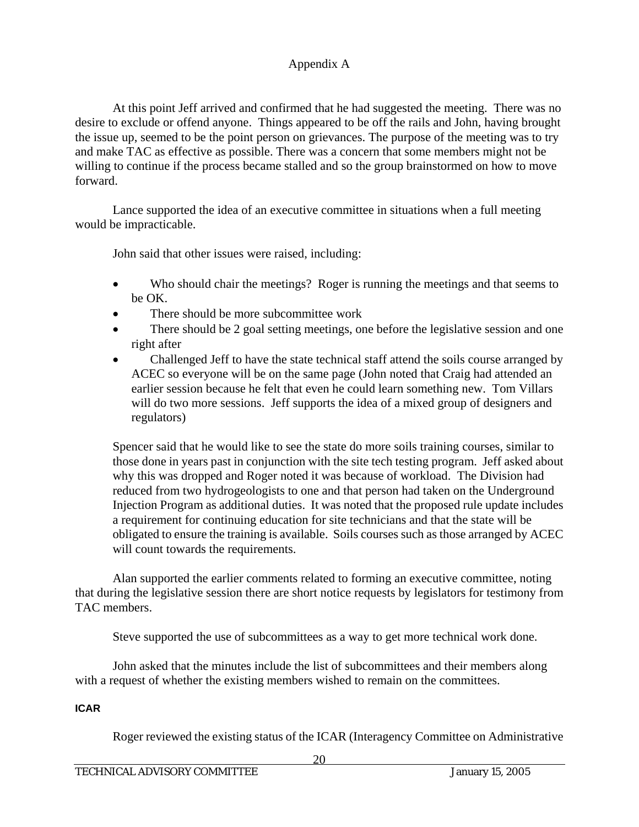At this point Jeff arrived and confirmed that he had suggested the meeting. There was no desire to exclude or offend anyone. Things appeared to be off the rails and John, having brought the issue up, seemed to be the point person on grievances. The purpose of the meeting was to try and make TAC as effective as possible. There was a concern that some members might not be willing to continue if the process became stalled and so the group brainstormed on how to move forward.

 Lance supported the idea of an executive committee in situations when a full meeting would be impracticable.

John said that other issues were raised, including:

- Who should chair the meetings? Roger is running the meetings and that seems to be OK.
- There should be more subcommittee work
- There should be 2 goal setting meetings, one before the legislative session and one right after
- Challenged Jeff to have the state technical staff attend the soils course arranged by ACEC so everyone will be on the same page (John noted that Craig had attended an earlier session because he felt that even he could learn something new. Tom Villars will do two more sessions. Jeff supports the idea of a mixed group of designers and regulators)

Spencer said that he would like to see the state do more soils training courses, similar to those done in years past in conjunction with the site tech testing program. Jeff asked about why this was dropped and Roger noted it was because of workload. The Division had reduced from two hydrogeologists to one and that person had taken on the Underground Injection Program as additional duties. It was noted that the proposed rule update includes a requirement for continuing education for site technicians and that the state will be obligated to ensure the training is available. Soils courses such as those arranged by ACEC will count towards the requirements.

Alan supported the earlier comments related to forming an executive committee, noting that during the legislative session there are short notice requests by legislators for testimony from TAC members.

Steve supported the use of subcommittees as a way to get more technical work done.

John asked that the minutes include the list of subcommittees and their members along with a request of whether the existing members wished to remain on the committees.

### **ICAR**

Roger reviewed the existing status of the ICAR (Interagency Committee on Administrative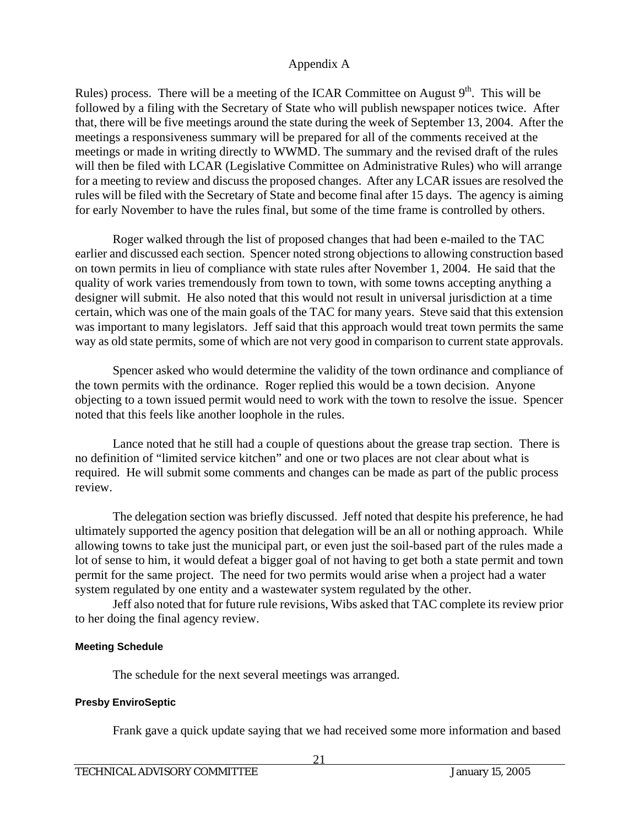Rules) process. There will be a meeting of the ICAR Committee on August  $9<sup>th</sup>$ . This will be followed by a filing with the Secretary of State who will publish newspaper notices twice. After that, there will be five meetings around the state during the week of September 13, 2004. After the meetings a responsiveness summary will be prepared for all of the comments received at the meetings or made in writing directly to WWMD. The summary and the revised draft of the rules will then be filed with LCAR (Legislative Committee on Administrative Rules) who will arrange for a meeting to review and discuss the proposed changes. After any LCAR issues are resolved the rules will be filed with the Secretary of State and become final after 15 days. The agency is aiming for early November to have the rules final, but some of the time frame is controlled by others.

 Roger walked through the list of proposed changes that had been e-mailed to the TAC earlier and discussed each section. Spencer noted strong objections to allowing construction based on town permits in lieu of compliance with state rules after November 1, 2004. He said that the quality of work varies tremendously from town to town, with some towns accepting anything a designer will submit. He also noted that this would not result in universal jurisdiction at a time certain, which was one of the main goals of the TAC for many years. Steve said that this extension was important to many legislators. Jeff said that this approach would treat town permits the same way as old state permits, some of which are not very good in comparison to current state approvals.

 Spencer asked who would determine the validity of the town ordinance and compliance of the town permits with the ordinance. Roger replied this would be a town decision. Anyone objecting to a town issued permit would need to work with the town to resolve the issue. Spencer noted that this feels like another loophole in the rules.

 Lance noted that he still had a couple of questions about the grease trap section. There is no definition of "limited service kitchen" and one or two places are not clear about what is required. He will submit some comments and changes can be made as part of the public process review.

 The delegation section was briefly discussed. Jeff noted that despite his preference, he had ultimately supported the agency position that delegation will be an all or nothing approach. While allowing towns to take just the municipal part, or even just the soil-based part of the rules made a lot of sense to him, it would defeat a bigger goal of not having to get both a state permit and town permit for the same project. The need for two permits would arise when a project had a water system regulated by one entity and a wastewater system regulated by the other.

 Jeff also noted that for future rule revisions, Wibs asked that TAC complete its review prior to her doing the final agency review.

### **Meeting Schedule**

The schedule for the next several meetings was arranged.

### **Presby EnviroSeptic**

Frank gave a quick update saying that we had received some more information and based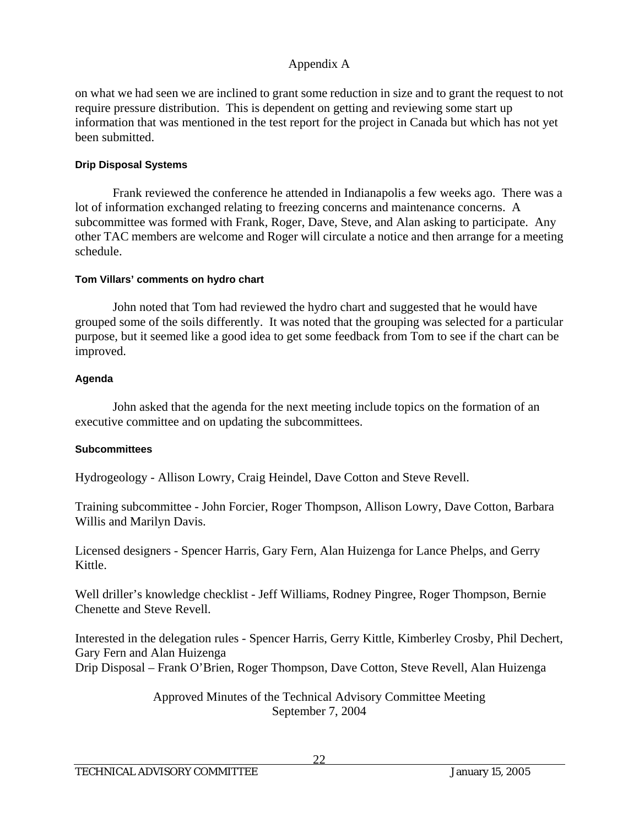on what we had seen we are inclined to grant some reduction in size and to grant the request to not require pressure distribution. This is dependent on getting and reviewing some start up information that was mentioned in the test report for the project in Canada but which has not yet been submitted.

### **Drip Disposal Systems**

 Frank reviewed the conference he attended in Indianapolis a few weeks ago. There was a lot of information exchanged relating to freezing concerns and maintenance concerns. A subcommittee was formed with Frank, Roger, Dave, Steve, and Alan asking to participate. Any other TAC members are welcome and Roger will circulate a notice and then arrange for a meeting schedule.

### **Tom Villars' comments on hydro chart**

 John noted that Tom had reviewed the hydro chart and suggested that he would have grouped some of the soils differently. It was noted that the grouping was selected for a particular purpose, but it seemed like a good idea to get some feedback from Tom to see if the chart can be improved.

### **Agenda**

 John asked that the agenda for the next meeting include topics on the formation of an executive committee and on updating the subcommittees.

### **Subcommittees**

Hydrogeology - Allison Lowry, Craig Heindel, Dave Cotton and Steve Revell.

Training subcommittee - John Forcier, Roger Thompson, Allison Lowry, Dave Cotton, Barbara Willis and Marilyn Davis.

Licensed designers - Spencer Harris, Gary Fern, Alan Huizenga for Lance Phelps, and Gerry Kittle.

Well driller's knowledge checklist - Jeff Williams, Rodney Pingree, Roger Thompson, Bernie Chenette and Steve Revell.

Interested in the delegation rules - Spencer Harris, Gerry Kittle, Kimberley Crosby, Phil Dechert, Gary Fern and Alan Huizenga Drip Disposal – Frank O'Brien, Roger Thompson, Dave Cotton, Steve Revell, Alan Huizenga

> Approved Minutes of the Technical Advisory Committee Meeting September 7, 2004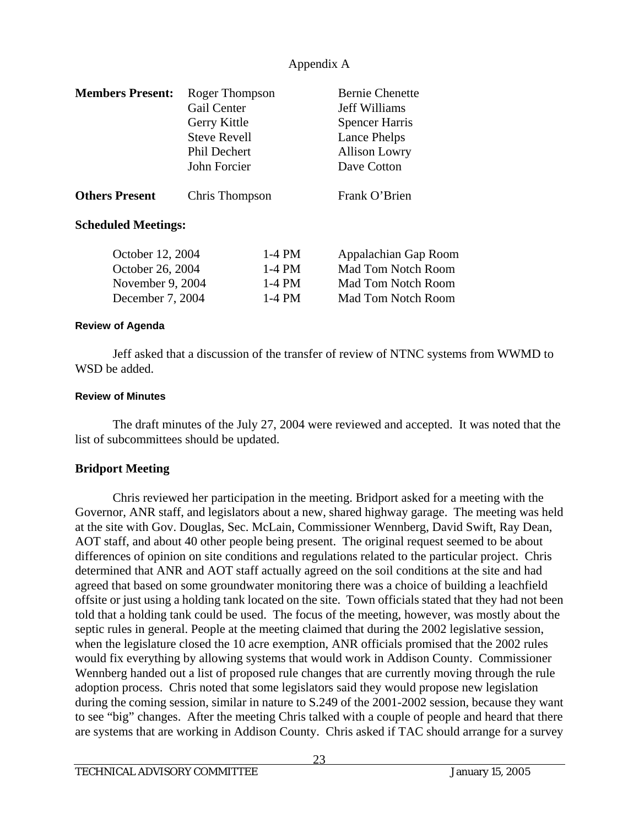| <b>Members Present:</b>                 | Roger Thompson      |          | <b>Bernie Chenette</b>    |
|-----------------------------------------|---------------------|----------|---------------------------|
|                                         | Gail Center         |          | Jeff Williams             |
|                                         | Gerry Kittle        |          | <b>Spencer Harris</b>     |
|                                         | <b>Steve Revell</b> |          | Lance Phelps              |
|                                         | Phil Dechert        |          | <b>Allison Lowry</b>      |
|                                         | John Forcier        |          | Dave Cotton               |
| <b>Others Present</b><br>Chris Thompson |                     |          | Frank O'Brien             |
| <b>Scheduled Meetings:</b>              |                     |          |                           |
| October 12, 2004                        |                     | $1-4$ PM | Appalachian Gap Room      |
| October 26, 2004                        |                     | $1-4$ PM | <b>Mad Tom Notch Room</b> |
| November 9, 2004                        |                     | $1-4$ PM | Mad Tom Notch Room        |
| December 7, 2004                        |                     | $1-4$ PM | Mad Tom Notch Room        |

#### **Review of Agenda**

Jeff asked that a discussion of the transfer of review of NTNC systems from WWMD to WSD be added.

#### **Review of Minutes**

The draft minutes of the July 27, 2004 were reviewed and accepted. It was noted that the list of subcommittees should be updated.

#### **Bridport Meeting**

Chris reviewed her participation in the meeting. Bridport asked for a meeting with the Governor, ANR staff, and legislators about a new, shared highway garage. The meeting was held at the site with Gov. Douglas, Sec. McLain, Commissioner Wennberg, David Swift, Ray Dean, AOT staff, and about 40 other people being present. The original request seemed to be about differences of opinion on site conditions and regulations related to the particular project. Chris determined that ANR and AOT staff actually agreed on the soil conditions at the site and had agreed that based on some groundwater monitoring there was a choice of building a leachfield offsite or just using a holding tank located on the site. Town officials stated that they had not been told that a holding tank could be used. The focus of the meeting, however, was mostly about the septic rules in general. People at the meeting claimed that during the 2002 legislative session, when the legislature closed the 10 acre exemption, ANR officials promised that the 2002 rules would fix everything by allowing systems that would work in Addison County. Commissioner Wennberg handed out a list of proposed rule changes that are currently moving through the rule adoption process. Chris noted that some legislators said they would propose new legislation during the coming session, similar in nature to S.249 of the 2001-2002 session, because they want to see "big" changes. After the meeting Chris talked with a couple of people and heard that there are systems that are working in Addison County. Chris asked if TAC should arrange for a survey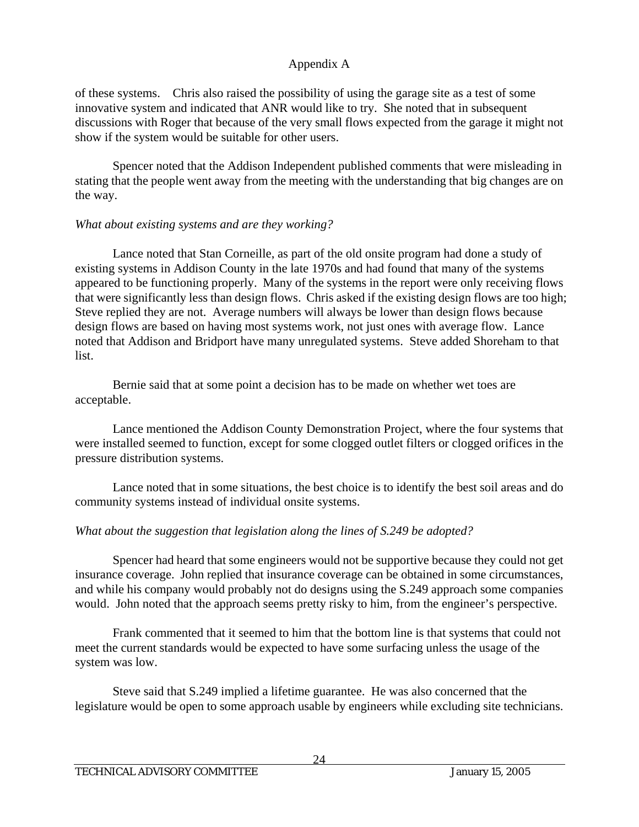of these systems. Chris also raised the possibility of using the garage site as a test of some innovative system and indicated that ANR would like to try. She noted that in subsequent discussions with Roger that because of the very small flows expected from the garage it might not show if the system would be suitable for other users.

 Spencer noted that the Addison Independent published comments that were misleading in stating that the people went away from the meeting with the understanding that big changes are on the way.

### *What about existing systems and are they working?*

 Lance noted that Stan Corneille, as part of the old onsite program had done a study of existing systems in Addison County in the late 1970s and had found that many of the systems appeared to be functioning properly. Many of the systems in the report were only receiving flows that were significantly less than design flows. Chris asked if the existing design flows are too high; Steve replied they are not. Average numbers will always be lower than design flows because design flows are based on having most systems work, not just ones with average flow. Lance noted that Addison and Bridport have many unregulated systems. Steve added Shoreham to that list.

 Bernie said that at some point a decision has to be made on whether wet toes are acceptable.

 Lance mentioned the Addison County Demonstration Project, where the four systems that were installed seemed to function, except for some clogged outlet filters or clogged orifices in the pressure distribution systems.

 Lance noted that in some situations, the best choice is to identify the best soil areas and do community systems instead of individual onsite systems.

### *What about the suggestion that legislation along the lines of S.249 be adopted?*

 Spencer had heard that some engineers would not be supportive because they could not get insurance coverage. John replied that insurance coverage can be obtained in some circumstances, and while his company would probably not do designs using the S.249 approach some companies would. John noted that the approach seems pretty risky to him, from the engineer's perspective.

 Frank commented that it seemed to him that the bottom line is that systems that could not meet the current standards would be expected to have some surfacing unless the usage of the system was low.

 Steve said that S.249 implied a lifetime guarantee. He was also concerned that the legislature would be open to some approach usable by engineers while excluding site technicians.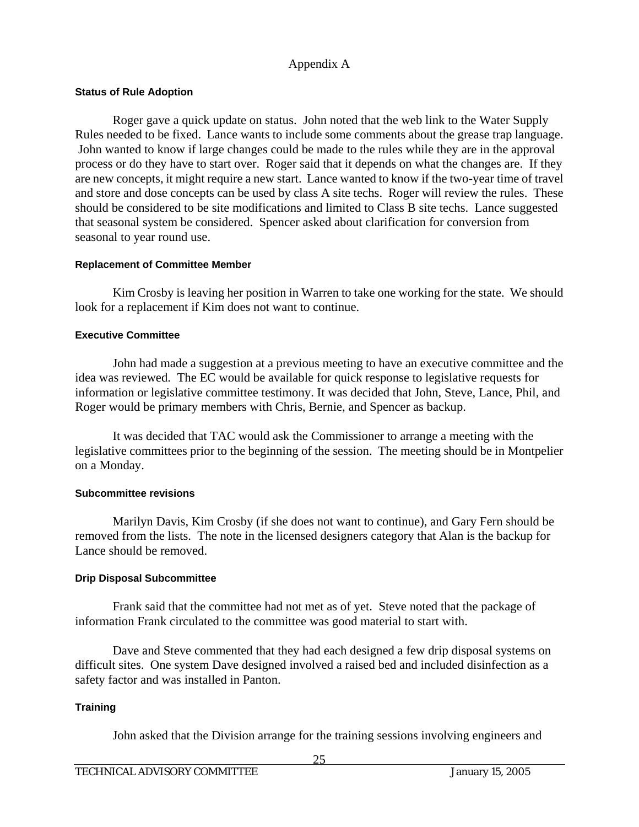#### **Status of Rule Adoption**

Roger gave a quick update on status. John noted that the web link to the Water Supply Rules needed to be fixed. Lance wants to include some comments about the grease trap language. John wanted to know if large changes could be made to the rules while they are in the approval process or do they have to start over. Roger said that it depends on what the changes are. If they are new concepts, it might require a new start. Lance wanted to know if the two-year time of travel and store and dose concepts can be used by class A site techs. Roger will review the rules. These should be considered to be site modifications and limited to Class B site techs. Lance suggested that seasonal system be considered. Spencer asked about clarification for conversion from seasonal to year round use.

#### **Replacement of Committee Member**

Kim Crosby is leaving her position in Warren to take one working for the state. We should look for a replacement if Kim does not want to continue.

#### **Executive Committee**

John had made a suggestion at a previous meeting to have an executive committee and the idea was reviewed. The EC would be available for quick response to legislative requests for information or legislative committee testimony. It was decided that John, Steve, Lance, Phil, and Roger would be primary members with Chris, Bernie, and Spencer as backup.

 It was decided that TAC would ask the Commissioner to arrange a meeting with the legislative committees prior to the beginning of the session. The meeting should be in Montpelier on a Monday.

#### **Subcommittee revisions**

 Marilyn Davis, Kim Crosby (if she does not want to continue), and Gary Fern should be removed from the lists. The note in the licensed designers category that Alan is the backup for Lance should be removed.

#### **Drip Disposal Subcommittee**

 Frank said that the committee had not met as of yet. Steve noted that the package of information Frank circulated to the committee was good material to start with.

 Dave and Steve commented that they had each designed a few drip disposal systems on difficult sites. One system Dave designed involved a raised bed and included disinfection as a safety factor and was installed in Panton.

#### **Training**

John asked that the Division arrange for the training sessions involving engineers and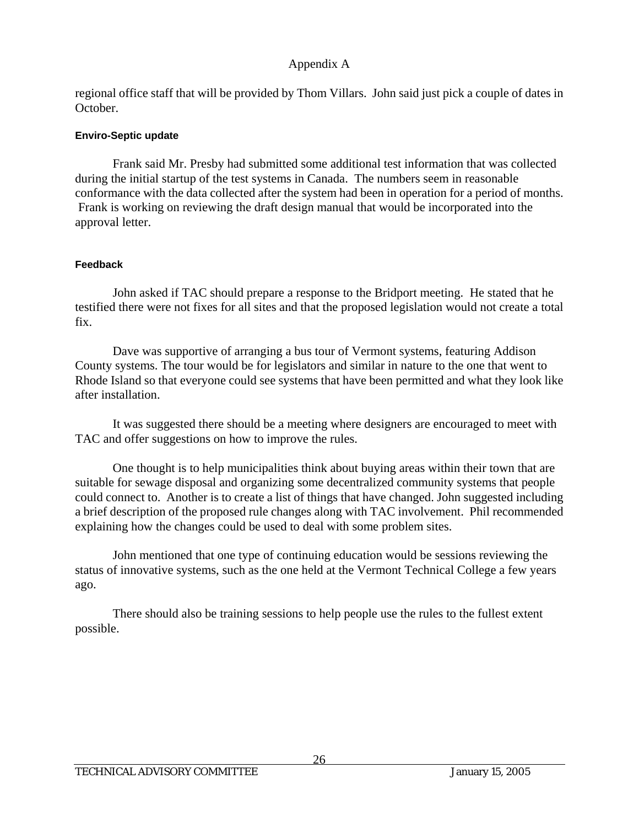regional office staff that will be provided by Thom Villars. John said just pick a couple of dates in October.

### **Enviro-Septic update**

 Frank said Mr. Presby had submitted some additional test information that was collected during the initial startup of the test systems in Canada. The numbers seem in reasonable conformance with the data collected after the system had been in operation for a period of months. Frank is working on reviewing the draft design manual that would be incorporated into the approval letter.

### **Feedback**

 John asked if TAC should prepare a response to the Bridport meeting. He stated that he testified there were not fixes for all sites and that the proposed legislation would not create a total fix.

 Dave was supportive of arranging a bus tour of Vermont systems, featuring Addison County systems. The tour would be for legislators and similar in nature to the one that went to Rhode Island so that everyone could see systems that have been permitted and what they look like after installation.

 It was suggested there should be a meeting where designers are encouraged to meet with TAC and offer suggestions on how to improve the rules.

 One thought is to help municipalities think about buying areas within their town that are suitable for sewage disposal and organizing some decentralized community systems that people could connect to. Another is to create a list of things that have changed. John suggested including a brief description of the proposed rule changes along with TAC involvement. Phil recommended explaining how the changes could be used to deal with some problem sites.

 John mentioned that one type of continuing education would be sessions reviewing the status of innovative systems, such as the one held at the Vermont Technical College a few years ago.

 There should also be training sessions to help people use the rules to the fullest extent possible.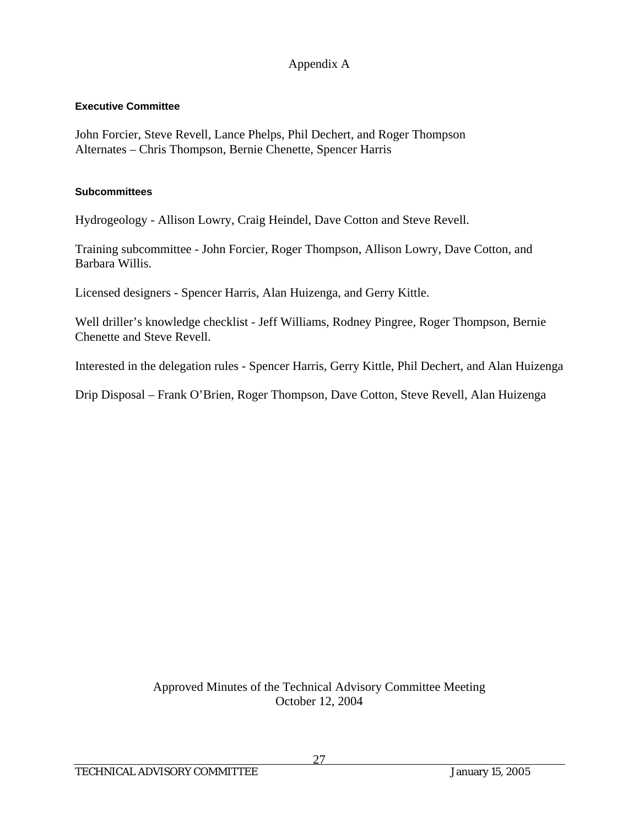### **Executive Committee**

John Forcier, Steve Revell, Lance Phelps, Phil Dechert, and Roger Thompson Alternates – Chris Thompson, Bernie Chenette, Spencer Harris

### **Subcommittees**

Hydrogeology - Allison Lowry, Craig Heindel, Dave Cotton and Steve Revell.

Training subcommittee - John Forcier, Roger Thompson, Allison Lowry, Dave Cotton, and Barbara Willis.

Licensed designers - Spencer Harris, Alan Huizenga, and Gerry Kittle.

Well driller's knowledge checklist - Jeff Williams, Rodney Pingree, Roger Thompson, Bernie Chenette and Steve Revell.

Interested in the delegation rules - Spencer Harris, Gerry Kittle, Phil Dechert, and Alan Huizenga

Drip Disposal – Frank O'Brien, Roger Thompson, Dave Cotton, Steve Revell, Alan Huizenga

Approved Minutes of the Technical Advisory Committee Meeting October 12, 2004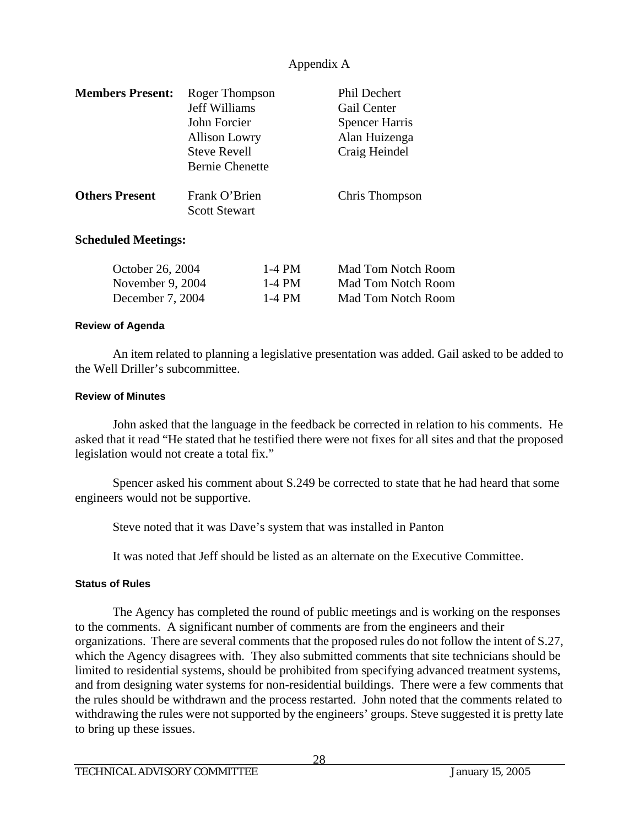| <b>Members Present:</b>    | Roger Thompson                        | <b>Phil Dechert</b>   |  |  |
|----------------------------|---------------------------------------|-----------------------|--|--|
|                            | <b>Jeff Williams</b>                  | Gail Center           |  |  |
|                            | John Forcier                          | <b>Spencer Harris</b> |  |  |
|                            | <b>Allison Lowry</b>                  | Alan Huizenga         |  |  |
|                            | <b>Steve Revell</b>                   | Craig Heindel         |  |  |
|                            | <b>Bernie Chenette</b>                |                       |  |  |
| <b>Others Present</b>      | Frank O'Brien<br><b>Scott Stewart</b> | Chris Thompson        |  |  |
| <b>Scheduled Meetings:</b> |                                       |                       |  |  |

| October 26, 2004   | 1-4 PM | Mad Tom Notch Room |
|--------------------|--------|--------------------|
| November 9, $2004$ | 1-4 PM | Mad Tom Notch Room |
| December 7, 2004   | 1-4 PM | Mad Tom Notch Room |

#### **Review of Agenda**

 An item related to planning a legislative presentation was added. Gail asked to be added to the Well Driller's subcommittee.

#### **Review of Minutes**

John asked that the language in the feedback be corrected in relation to his comments. He asked that it read "He stated that he testified there were not fixes for all sites and that the proposed legislation would not create a total fix."

 Spencer asked his comment about S.249 be corrected to state that he had heard that some engineers would not be supportive.

Steve noted that it was Dave's system that was installed in Panton

It was noted that Jeff should be listed as an alternate on the Executive Committee.

#### **Status of Rules**

 The Agency has completed the round of public meetings and is working on the responses to the comments. A significant number of comments are from the engineers and their organizations. There are several comments that the proposed rules do not follow the intent of S.27, which the Agency disagrees with. They also submitted comments that site technicians should be limited to residential systems, should be prohibited from specifying advanced treatment systems, and from designing water systems for non-residential buildings. There were a few comments that the rules should be withdrawn and the process restarted. John noted that the comments related to withdrawing the rules were not supported by the engineers' groups. Steve suggested it is pretty late to bring up these issues.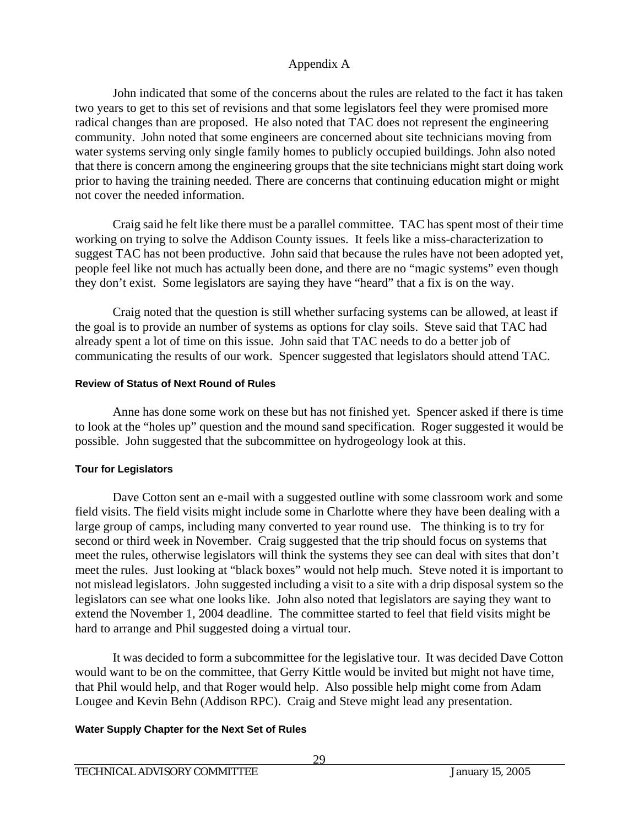John indicated that some of the concerns about the rules are related to the fact it has taken two years to get to this set of revisions and that some legislators feel they were promised more radical changes than are proposed. He also noted that TAC does not represent the engineering community. John noted that some engineers are concerned about site technicians moving from water systems serving only single family homes to publicly occupied buildings. John also noted that there is concern among the engineering groups that the site technicians might start doing work prior to having the training needed. There are concerns that continuing education might or might not cover the needed information.

 Craig said he felt like there must be a parallel committee. TAC has spent most of their time working on trying to solve the Addison County issues. It feels like a miss-characterization to suggest TAC has not been productive. John said that because the rules have not been adopted yet, people feel like not much has actually been done, and there are no "magic systems" even though they don't exist. Some legislators are saying they have "heard" that a fix is on the way.

 Craig noted that the question is still whether surfacing systems can be allowed, at least if the goal is to provide an number of systems as options for clay soils. Steve said that TAC had already spent a lot of time on this issue. John said that TAC needs to do a better job of communicating the results of our work. Spencer suggested that legislators should attend TAC.

### **Review of Status of Next Round of Rules**

 Anne has done some work on these but has not finished yet. Spencer asked if there is time to look at the "holes up" question and the mound sand specification. Roger suggested it would be possible. John suggested that the subcommittee on hydrogeology look at this.

### **Tour for Legislators**

 Dave Cotton sent an e-mail with a suggested outline with some classroom work and some field visits. The field visits might include some in Charlotte where they have been dealing with a large group of camps, including many converted to year round use. The thinking is to try for second or third week in November. Craig suggested that the trip should focus on systems that meet the rules, otherwise legislators will think the systems they see can deal with sites that don't meet the rules. Just looking at "black boxes" would not help much. Steve noted it is important to not mislead legislators. John suggested including a visit to a site with a drip disposal system so the legislators can see what one looks like. John also noted that legislators are saying they want to extend the November 1, 2004 deadline. The committee started to feel that field visits might be hard to arrange and Phil suggested doing a virtual tour.

 It was decided to form a subcommittee for the legislative tour. It was decided Dave Cotton would want to be on the committee, that Gerry Kittle would be invited but might not have time, that Phil would help, and that Roger would help. Also possible help might come from Adam Lougee and Kevin Behn (Addison RPC). Craig and Steve might lead any presentation.

### **Water Supply Chapter for the Next Set of Rules**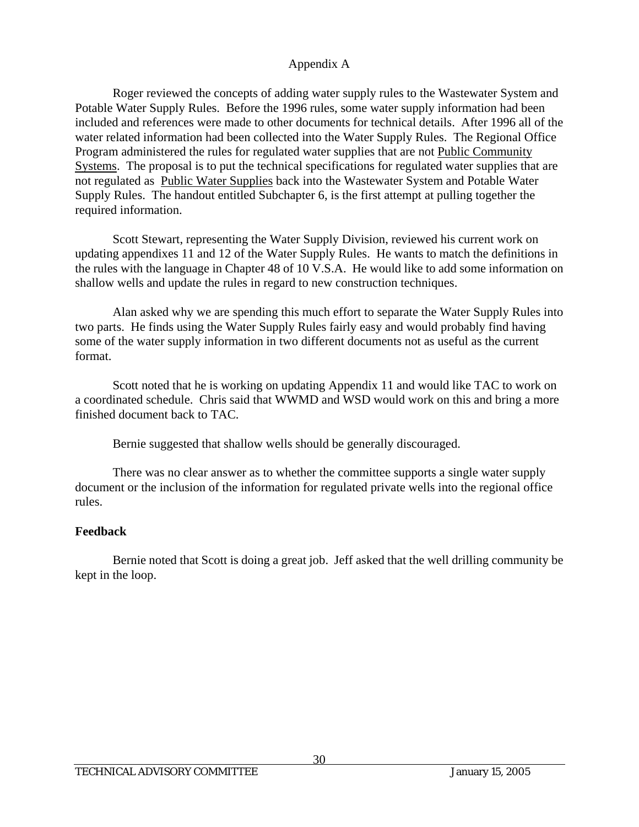Roger reviewed the concepts of adding water supply rules to the Wastewater System and Potable Water Supply Rules. Before the 1996 rules, some water supply information had been included and references were made to other documents for technical details. After 1996 all of the water related information had been collected into the Water Supply Rules. The Regional Office Program administered the rules for regulated water supplies that are not Public Community Systems. The proposal is to put the technical specifications for regulated water supplies that are not regulated as Public Water Supplies back into the Wastewater System and Potable Water Supply Rules. The handout entitled Subchapter 6, is the first attempt at pulling together the required information.

 Scott Stewart, representing the Water Supply Division, reviewed his current work on updating appendixes 11 and 12 of the Water Supply Rules. He wants to match the definitions in the rules with the language in Chapter 48 of 10 V.S.A. He would like to add some information on shallow wells and update the rules in regard to new construction techniques.

 Alan asked why we are spending this much effort to separate the Water Supply Rules into two parts. He finds using the Water Supply Rules fairly easy and would probably find having some of the water supply information in two different documents not as useful as the current format.

 Scott noted that he is working on updating Appendix 11 and would like TAC to work on a coordinated schedule. Chris said that WWMD and WSD would work on this and bring a more finished document back to TAC.

Bernie suggested that shallow wells should be generally discouraged.

 There was no clear answer as to whether the committee supports a single water supply document or the inclusion of the information for regulated private wells into the regional office rules.

### **Feedback**

 Bernie noted that Scott is doing a great job. Jeff asked that the well drilling community be kept in the loop.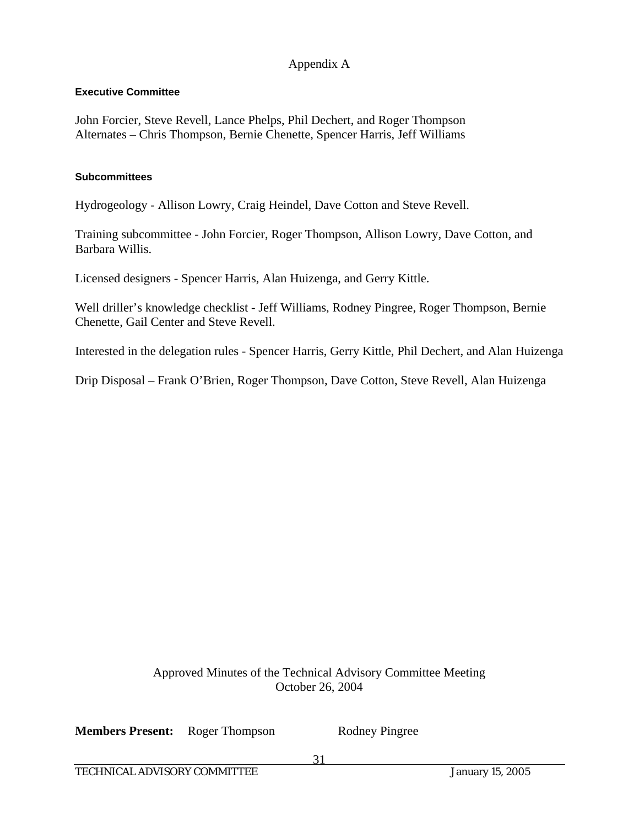### **Executive Committee**

John Forcier, Steve Revell, Lance Phelps, Phil Dechert, and Roger Thompson Alternates – Chris Thompson, Bernie Chenette, Spencer Harris, Jeff Williams

#### **Subcommittees**

Hydrogeology - Allison Lowry, Craig Heindel, Dave Cotton and Steve Revell.

Training subcommittee - John Forcier, Roger Thompson, Allison Lowry, Dave Cotton, and Barbara Willis.

Licensed designers - Spencer Harris, Alan Huizenga, and Gerry Kittle.

Well driller's knowledge checklist - Jeff Williams, Rodney Pingree, Roger Thompson, Bernie Chenette, Gail Center and Steve Revell.

Interested in the delegation rules - Spencer Harris, Gerry Kittle, Phil Dechert, and Alan Huizenga

Drip Disposal – Frank O'Brien, Roger Thompson, Dave Cotton, Steve Revell, Alan Huizenga

Approved Minutes of the Technical Advisory Committee Meeting October 26, 2004

**Members Present:** Roger Thompson Rodney Pingree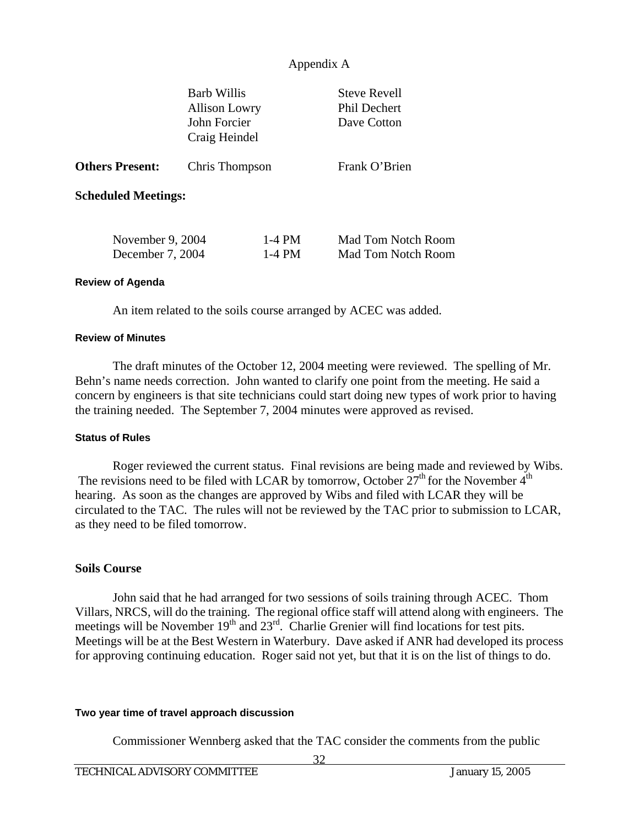|                                      | <b>Barb Willis</b><br><b>Allison Lowry</b><br>John Forcier<br>Craig Heindel |                      | <b>Steve Revell</b><br><b>Phil Dechert</b><br>Dave Cotton |
|--------------------------------------|-----------------------------------------------------------------------------|----------------------|-----------------------------------------------------------|
| <b>Others Present:</b>               | Chris Thompson                                                              |                      | Frank O'Brien                                             |
| <b>Scheduled Meetings:</b>           |                                                                             |                      |                                                           |
| November 9, 2004<br>December 7, 2004 |                                                                             | $1-4$ PM<br>$1-4$ PM | Mad Tom Notch Room<br>Mad Tom Notch Room                  |
| <b>Review of Agenda</b>              |                                                                             |                      |                                                           |

An item related to the soils course arranged by ACEC was added.

#### **Review of Minutes**

 The draft minutes of the October 12, 2004 meeting were reviewed. The spelling of Mr. Behn's name needs correction. John wanted to clarify one point from the meeting. He said a concern by engineers is that site technicians could start doing new types of work prior to having the training needed. The September 7, 2004 minutes were approved as revised.

#### **Status of Rules**

 Roger reviewed the current status. Final revisions are being made and reviewed by Wibs. The revisions need to be filed with LCAR by tomorrow, October  $27<sup>th</sup>$  for the November  $4<sup>th</sup>$ hearing. As soon as the changes are approved by Wibs and filed with LCAR they will be circulated to the TAC. The rules will not be reviewed by the TAC prior to submission to LCAR, as they need to be filed tomorrow.

#### **Soils Course**

 John said that he had arranged for two sessions of soils training through ACEC. Thom Villars, NRCS, will do the training. The regional office staff will attend along with engineers. The meetings will be November  $19<sup>th</sup>$  and  $23<sup>rd</sup>$ . Charlie Grenier will find locations for test pits. Meetings will be at the Best Western in Waterbury. Dave asked if ANR had developed its process for approving continuing education. Roger said not yet, but that it is on the list of things to do.

#### **Two year time of travel approach discussion**

Commissioner Wennberg asked that the TAC consider the comments from the public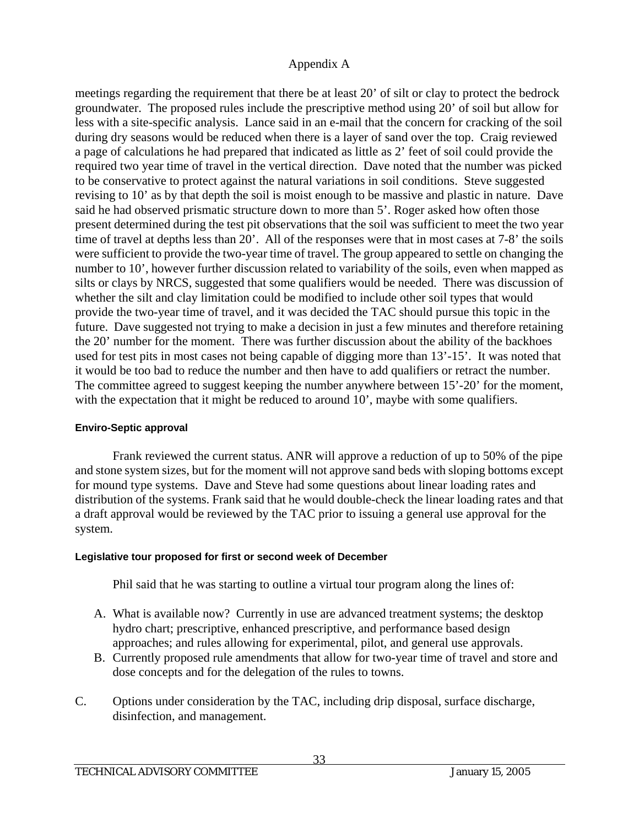meetings regarding the requirement that there be at least 20' of silt or clay to protect the bedrock groundwater. The proposed rules include the prescriptive method using 20' of soil but allow for less with a site-specific analysis. Lance said in an e-mail that the concern for cracking of the soil during dry seasons would be reduced when there is a layer of sand over the top. Craig reviewed a page of calculations he had prepared that indicated as little as 2' feet of soil could provide the required two year time of travel in the vertical direction. Dave noted that the number was picked to be conservative to protect against the natural variations in soil conditions. Steve suggested revising to 10' as by that depth the soil is moist enough to be massive and plastic in nature. Dave said he had observed prismatic structure down to more than 5'. Roger asked how often those present determined during the test pit observations that the soil was sufficient to meet the two year time of travel at depths less than 20'. All of the responses were that in most cases at 7-8' the soils were sufficient to provide the two-year time of travel. The group appeared to settle on changing the number to 10', however further discussion related to variability of the soils, even when mapped as silts or clays by NRCS, suggested that some qualifiers would be needed. There was discussion of whether the silt and clay limitation could be modified to include other soil types that would provide the two-year time of travel, and it was decided the TAC should pursue this topic in the future. Dave suggested not trying to make a decision in just a few minutes and therefore retaining the 20' number for the moment. There was further discussion about the ability of the backhoes used for test pits in most cases not being capable of digging more than 13'-15'. It was noted that it would be too bad to reduce the number and then have to add qualifiers or retract the number. The committee agreed to suggest keeping the number anywhere between 15'-20' for the moment, with the expectation that it might be reduced to around 10', maybe with some qualifiers.

### **Enviro-Septic approval**

 Frank reviewed the current status. ANR will approve a reduction of up to 50% of the pipe and stone system sizes, but for the moment will not approve sand beds with sloping bottoms except for mound type systems. Dave and Steve had some questions about linear loading rates and distribution of the systems. Frank said that he would double-check the linear loading rates and that a draft approval would be reviewed by the TAC prior to issuing a general use approval for the system.

### **Legislative tour proposed for first or second week of December**

Phil said that he was starting to outline a virtual tour program along the lines of:

- A. What is available now? Currently in use are advanced treatment systems; the desktop hydro chart; prescriptive, enhanced prescriptive, and performance based design approaches; and rules allowing for experimental, pilot, and general use approvals.
- B. Currently proposed rule amendments that allow for two-year time of travel and store and dose concepts and for the delegation of the rules to towns.
- C. Options under consideration by the TAC, including drip disposal, surface discharge, disinfection, and management.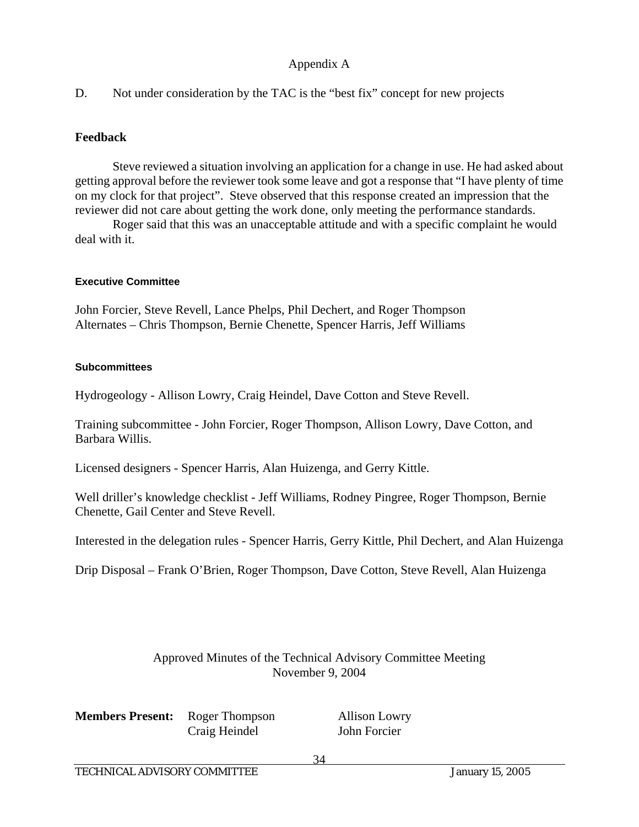D. Not under consideration by the TAC is the "best fix" concept for new projects

### **Feedback**

 Steve reviewed a situation involving an application for a change in use. He had asked about getting approval before the reviewer took some leave and got a response that "I have plenty of time on my clock for that project". Steve observed that this response created an impression that the reviewer did not care about getting the work done, only meeting the performance standards.

 Roger said that this was an unacceptable attitude and with a specific complaint he would deal with it.

### **Executive Committee**

John Forcier, Steve Revell, Lance Phelps, Phil Dechert, and Roger Thompson Alternates – Chris Thompson, Bernie Chenette, Spencer Harris, Jeff Williams

### **Subcommittees**

Hydrogeology - Allison Lowry, Craig Heindel, Dave Cotton and Steve Revell.

Training subcommittee - John Forcier, Roger Thompson, Allison Lowry, Dave Cotton, and Barbara Willis.

Licensed designers - Spencer Harris, Alan Huizenga, and Gerry Kittle.

Well driller's knowledge checklist - Jeff Williams, Rodney Pingree, Roger Thompson, Bernie Chenette, Gail Center and Steve Revell.

Interested in the delegation rules - Spencer Harris, Gerry Kittle, Phil Dechert, and Alan Huizenga

Drip Disposal – Frank O'Brien, Roger Thompson, Dave Cotton, Steve Revell, Alan Huizenga

### Approved Minutes of the Technical Advisory Committee Meeting November 9, 2004

**Members Present:** Roger Thompson Allison Lowry Craig Heindel John Forcier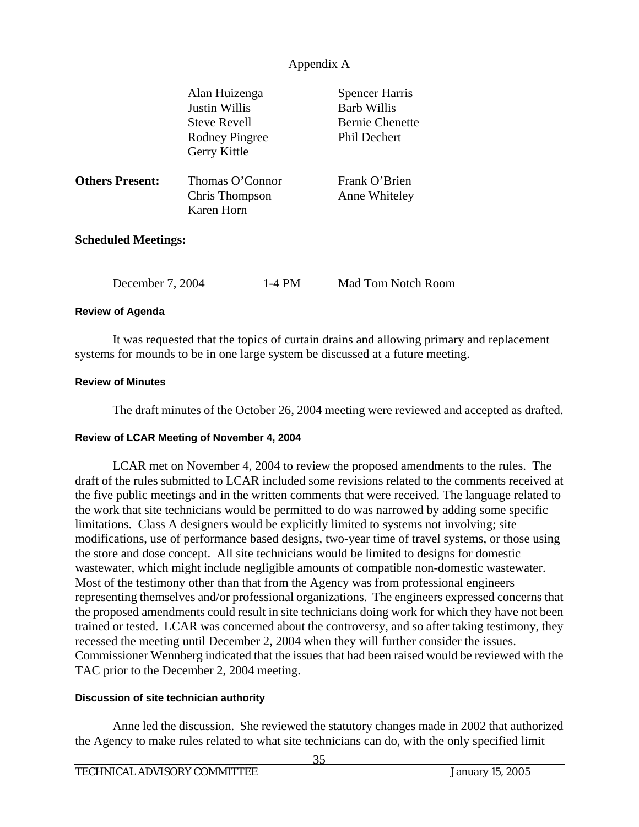|                            | Alan Huizenga<br>Justin Willis<br><b>Steve Revell</b><br><b>Rodney Pingree</b><br>Gerry Kittle | <b>Spencer Harris</b><br><b>Barb Willis</b><br><b>Bernie Chenette</b><br><b>Phil Dechert</b> |
|----------------------------|------------------------------------------------------------------------------------------------|----------------------------------------------------------------------------------------------|
| <b>Others Present:</b>     | Thomas O'Connor<br>Chris Thompson<br>Karen Horn                                                | Frank O'Brien<br>Anne Whiteley                                                               |
| <b>Scheduled Meetings:</b> |                                                                                                |                                                                                              |

December 7, 2004 1-4 PM Mad Tom Notch Room

#### **Review of Agenda**

 It was requested that the topics of curtain drains and allowing primary and replacement systems for mounds to be in one large system be discussed at a future meeting.

#### **Review of Minutes**

The draft minutes of the October 26, 2004 meeting were reviewed and accepted as drafted.

#### **Review of LCAR Meeting of November 4, 2004**

 LCAR met on November 4, 2004 to review the proposed amendments to the rules. The draft of the rules submitted to LCAR included some revisions related to the comments received at the five public meetings and in the written comments that were received. The language related to the work that site technicians would be permitted to do was narrowed by adding some specific limitations. Class A designers would be explicitly limited to systems not involving; site modifications, use of performance based designs, two-year time of travel systems, or those using the store and dose concept. All site technicians would be limited to designs for domestic wastewater, which might include negligible amounts of compatible non-domestic wastewater. Most of the testimony other than that from the Agency was from professional engineers representing themselves and/or professional organizations. The engineers expressed concerns that the proposed amendments could result in site technicians doing work for which they have not been trained or tested. LCAR was concerned about the controversy, and so after taking testimony, they recessed the meeting until December 2, 2004 when they will further consider the issues. Commissioner Wennberg indicated that the issues that had been raised would be reviewed with the TAC prior to the December 2, 2004 meeting.

#### **Discussion of site technician authority**

 Anne led the discussion. She reviewed the statutory changes made in 2002 that authorized the Agency to make rules related to what site technicians can do, with the only specified limit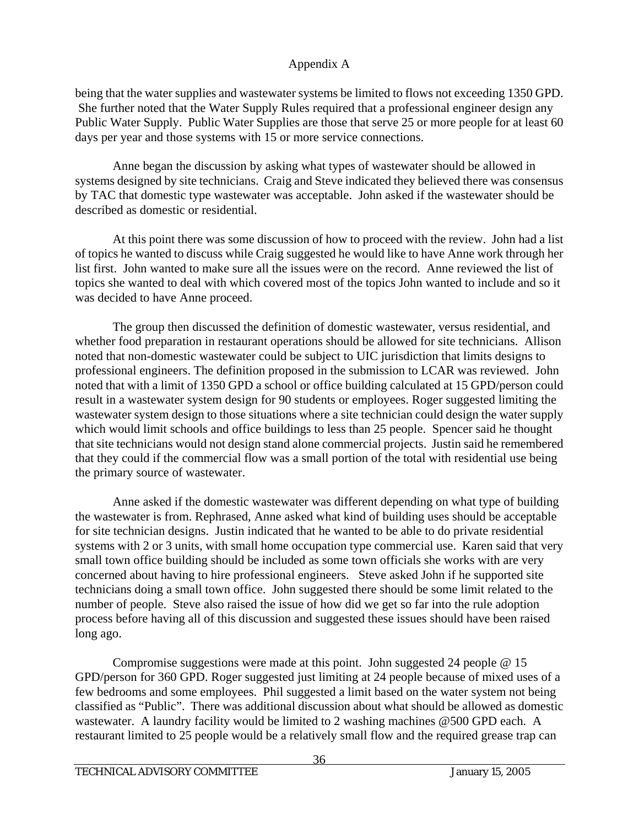being that the water supplies and wastewater systems be limited to flows not exceeding 1350 GPD. She further noted that the Water Supply Rules required that a professional engineer design any Public Water Supply. Public Water Supplies are those that serve 25 or more people for at least 60 days per year and those systems with 15 or more service connections.

 Anne began the discussion by asking what types of wastewater should be allowed in systems designed by site technicians. Craig and Steve indicated they believed there was consensus by TAC that domestic type wastewater was acceptable. John asked if the wastewater should be described as domestic or residential.

 At this point there was some discussion of how to proceed with the review. John had a list of topics he wanted to discuss while Craig suggested he would like to have Anne work through her list first. John wanted to make sure all the issues were on the record. Anne reviewed the list of topics she wanted to deal with which covered most of the topics John wanted to include and so it was decided to have Anne proceed.

 The group then discussed the definition of domestic wastewater, versus residential, and whether food preparation in restaurant operations should be allowed for site technicians. Allison noted that non-domestic wastewater could be subject to UIC jurisdiction that limits designs to professional engineers. The definition proposed in the submission to LCAR was reviewed. John noted that with a limit of 1350 GPD a school or office building calculated at 15 GPD/person could result in a wastewater system design for 90 students or employees. Roger suggested limiting the wastewater system design to those situations where a site technician could design the water supply which would limit schools and office buildings to less than 25 people. Spencer said he thought that site technicians would not design stand alone commercial projects. Justin said he remembered that they could if the commercial flow was a small portion of the total with residential use being the primary source of wastewater.

Anne asked if the domestic wastewater was different depending on what type of building the wastewater is from. Rephrased, Anne asked what kind of building uses should be acceptable for site technician designs. Justin indicated that he wanted to be able to do private residential systems with 2 or 3 units, with small home occupation type commercial use. Karen said that very small town office building should be included as some town officials she works with are very concerned about having to hire professional engineers. Steve asked John if he supported site technicians doing a small town office. John suggested there should be some limit related to the number of people. Steve also raised the issue of how did we get so far into the rule adoption process before having all of this discussion and suggested these issues should have been raised long ago.

Compromise suggestions were made at this point. John suggested 24 people @ 15 GPD/person for 360 GPD. Roger suggested just limiting at 24 people because of mixed uses of a few bedrooms and some employees. Phil suggested a limit based on the water system not being classified as "Public". There was additional discussion about what should be allowed as domestic wastewater. A laundry facility would be limited to 2 washing machines @500 GPD each. A restaurant limited to 25 people would be a relatively small flow and the required grease trap can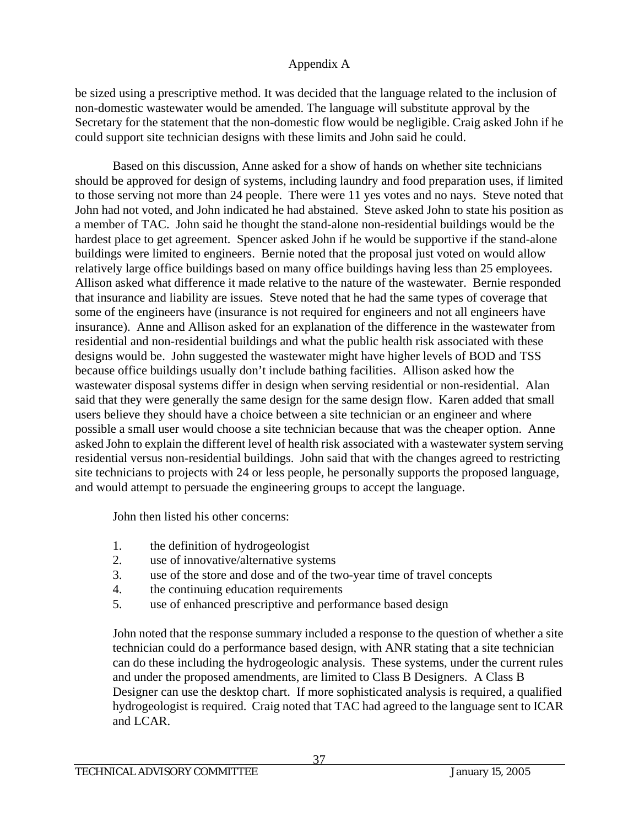be sized using a prescriptive method. It was decided that the language related to the inclusion of non-domestic wastewater would be amended. The language will substitute approval by the Secretary for the statement that the non-domestic flow would be negligible. Craig asked John if he could support site technician designs with these limits and John said he could.

Based on this discussion, Anne asked for a show of hands on whether site technicians should be approved for design of systems, including laundry and food preparation uses, if limited to those serving not more than 24 people. There were 11 yes votes and no nays. Steve noted that John had not voted, and John indicated he had abstained. Steve asked John to state his position as a member of TAC. John said he thought the stand-alone non-residential buildings would be the hardest place to get agreement. Spencer asked John if he would be supportive if the stand-alone buildings were limited to engineers. Bernie noted that the proposal just voted on would allow relatively large office buildings based on many office buildings having less than 25 employees. Allison asked what difference it made relative to the nature of the wastewater. Bernie responded that insurance and liability are issues. Steve noted that he had the same types of coverage that some of the engineers have (insurance is not required for engineers and not all engineers have insurance). Anne and Allison asked for an explanation of the difference in the wastewater from residential and non-residential buildings and what the public health risk associated with these designs would be. John suggested the wastewater might have higher levels of BOD and TSS because office buildings usually don't include bathing facilities. Allison asked how the wastewater disposal systems differ in design when serving residential or non-residential. Alan said that they were generally the same design for the same design flow. Karen added that small users believe they should have a choice between a site technician or an engineer and where possible a small user would choose a site technician because that was the cheaper option. Anne asked John to explain the different level of health risk associated with a wastewater system serving residential versus non-residential buildings. John said that with the changes agreed to restricting site technicians to projects with 24 or less people, he personally supports the proposed language, and would attempt to persuade the engineering groups to accept the language.

John then listed his other concerns:

- 1. the definition of hydrogeologist
- 2. use of innovative/alternative systems
- 3. use of the store and dose and of the two-year time of travel concepts
- 4. the continuing education requirements
- 5. use of enhanced prescriptive and performance based design

John noted that the response summary included a response to the question of whether a site technician could do a performance based design, with ANR stating that a site technician can do these including the hydrogeologic analysis. These systems, under the current rules and under the proposed amendments, are limited to Class B Designers. A Class B Designer can use the desktop chart. If more sophisticated analysis is required, a qualified hydrogeologist is required. Craig noted that TAC had agreed to the language sent to ICAR and LCAR.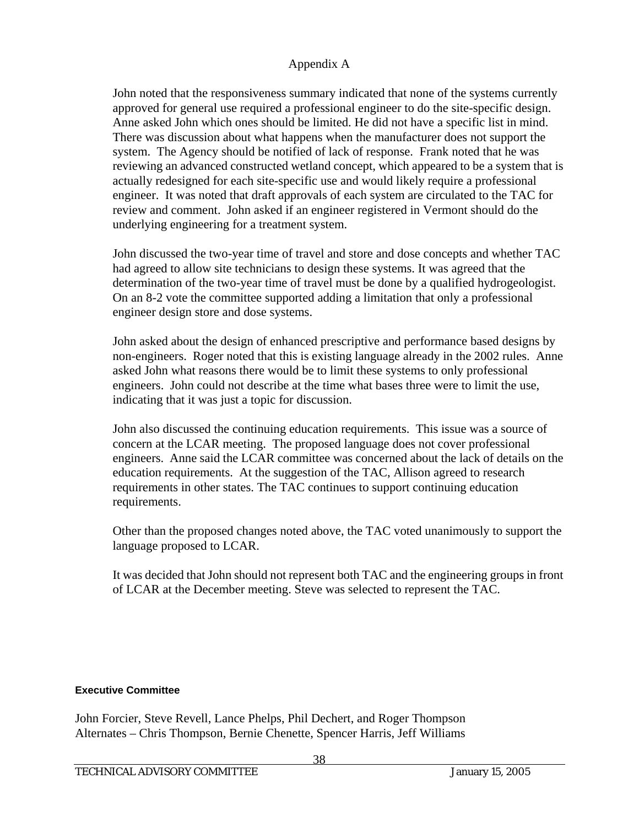John noted that the responsiveness summary indicated that none of the systems currently approved for general use required a professional engineer to do the site-specific design. Anne asked John which ones should be limited. He did not have a specific list in mind. There was discussion about what happens when the manufacturer does not support the system. The Agency should be notified of lack of response. Frank noted that he was reviewing an advanced constructed wetland concept, which appeared to be a system that is actually redesigned for each site-specific use and would likely require a professional engineer. It was noted that draft approvals of each system are circulated to the TAC for review and comment. John asked if an engineer registered in Vermont should do the underlying engineering for a treatment system.

John discussed the two-year time of travel and store and dose concepts and whether TAC had agreed to allow site technicians to design these systems. It was agreed that the determination of the two-year time of travel must be done by a qualified hydrogeologist. On an 8-2 vote the committee supported adding a limitation that only a professional engineer design store and dose systems.

John asked about the design of enhanced prescriptive and performance based designs by non-engineers. Roger noted that this is existing language already in the 2002 rules. Anne asked John what reasons there would be to limit these systems to only professional engineers. John could not describe at the time what bases three were to limit the use, indicating that it was just a topic for discussion.

John also discussed the continuing education requirements. This issue was a source of concern at the LCAR meeting. The proposed language does not cover professional engineers. Anne said the LCAR committee was concerned about the lack of details on the education requirements. At the suggestion of the TAC, Allison agreed to research requirements in other states. The TAC continues to support continuing education requirements.

Other than the proposed changes noted above, the TAC voted unanimously to support the language proposed to LCAR.

It was decided that John should not represent both TAC and the engineering groups in front of LCAR at the December meeting. Steve was selected to represent the TAC.

### **Executive Committee**

John Forcier, Steve Revell, Lance Phelps, Phil Dechert, and Roger Thompson Alternates – Chris Thompson, Bernie Chenette, Spencer Harris, Jeff Williams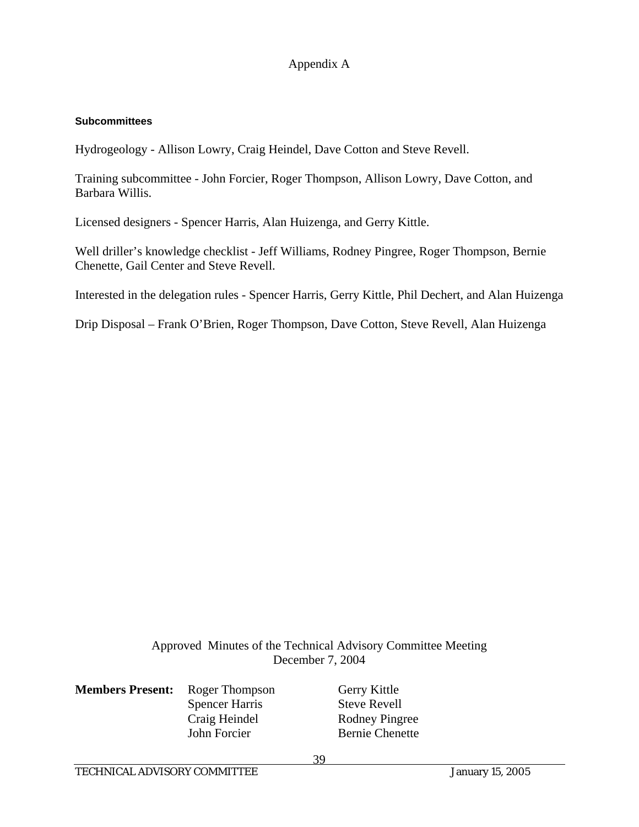#### **Subcommittees**

Hydrogeology - Allison Lowry, Craig Heindel, Dave Cotton and Steve Revell.

Training subcommittee - John Forcier, Roger Thompson, Allison Lowry, Dave Cotton, and Barbara Willis.

Licensed designers - Spencer Harris, Alan Huizenga, and Gerry Kittle.

Well driller's knowledge checklist - Jeff Williams, Rodney Pingree, Roger Thompson, Bernie Chenette, Gail Center and Steve Revell.

Interested in the delegation rules - Spencer Harris, Gerry Kittle, Phil Dechert, and Alan Huizenga

Drip Disposal – Frank O'Brien, Roger Thompson, Dave Cotton, Steve Revell, Alan Huizenga

Approved Minutes of the Technical Advisory Committee Meeting December 7, 2004

| <b>Members Present:</b> | Roger Thomps          |
|-------------------------|-----------------------|
|                         | <b>Spencer Harris</b> |
|                         | Craig Heindel         |
|                         | John Forcier          |

**Members** Gerry Kittle Steve Revell Rodney Pingree John Forcier Bernie Chenette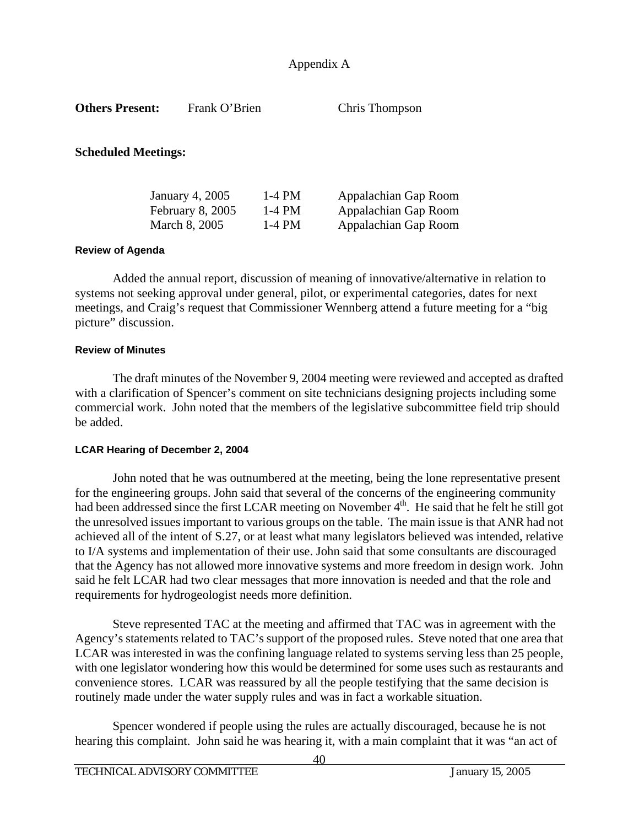| <b>Others Present:</b>     | Frank O'Brien                                        |                                  | Chris Thompson                                                       |  |
|----------------------------|------------------------------------------------------|----------------------------------|----------------------------------------------------------------------|--|
| <b>Scheduled Meetings:</b> |                                                      |                                  |                                                                      |  |
|                            | January 4, 2005<br>February 8, 2005<br>March 8, 2005 | $1-4$ PM<br>$1-4$ PM<br>$1-4$ PM | Appalachian Gap Room<br>Appalachian Gap Room<br>Appalachian Gap Room |  |
| Davious of Anondo          |                                                      |                                  |                                                                      |  |

#### **Review of Agenda**

 Added the annual report, discussion of meaning of innovative/alternative in relation to systems not seeking approval under general, pilot, or experimental categories, dates for next meetings, and Craig's request that Commissioner Wennberg attend a future meeting for a "big picture" discussion.

#### **Review of Minutes**

 The draft minutes of the November 9, 2004 meeting were reviewed and accepted as drafted with a clarification of Spencer's comment on site technicians designing projects including some commercial work. John noted that the members of the legislative subcommittee field trip should be added.

#### **LCAR Hearing of December 2, 2004**

 John noted that he was outnumbered at the meeting, being the lone representative present for the engineering groups. John said that several of the concerns of the engineering community had been addressed since the first LCAR meeting on November 4<sup>th</sup>. He said that he felt he still got the unresolved issues important to various groups on the table. The main issue is that ANR had not achieved all of the intent of S.27, or at least what many legislators believed was intended, relative to I/A systems and implementation of their use. John said that some consultants are discouraged that the Agency has not allowed more innovative systems and more freedom in design work. John said he felt LCAR had two clear messages that more innovation is needed and that the role and requirements for hydrogeologist needs more definition.

 Steve represented TAC at the meeting and affirmed that TAC was in agreement with the Agency's statements related to TAC's support of the proposed rules. Steve noted that one area that LCAR was interested in was the confining language related to systems serving less than 25 people, with one legislator wondering how this would be determined for some uses such as restaurants and convenience stores. LCAR was reassured by all the people testifying that the same decision is routinely made under the water supply rules and was in fact a workable situation.

 Spencer wondered if people using the rules are actually discouraged, because he is not hearing this complaint. John said he was hearing it, with a main complaint that it was "an act of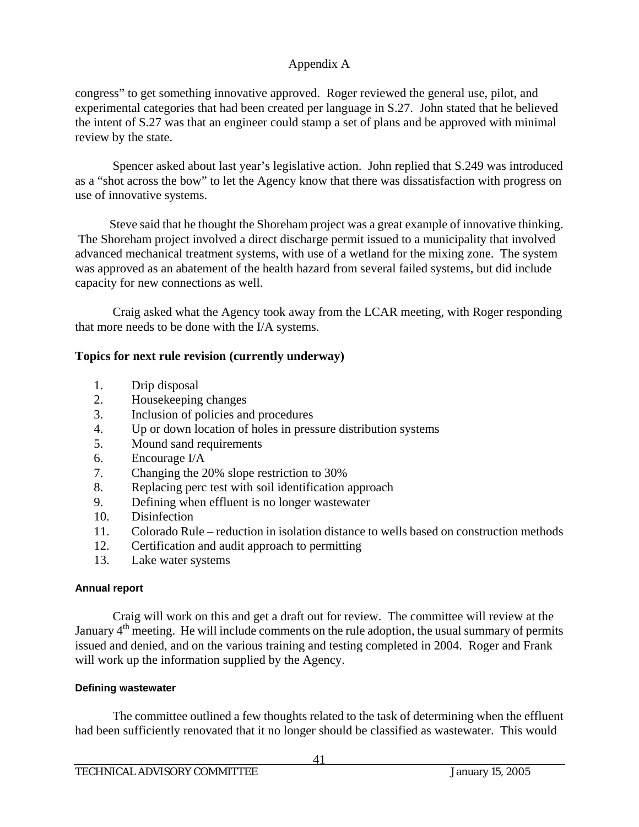congress" to get something innovative approved. Roger reviewed the general use, pilot, and experimental categories that had been created per language in S.27. John stated that he believed the intent of S.27 was that an engineer could stamp a set of plans and be approved with minimal review by the state.

 Spencer asked about last year's legislative action. John replied that S.249 was introduced as a "shot across the bow" to let the Agency know that there was dissatisfaction with progress on use of innovative systems.

 Steve said that he thought the Shoreham project was a great example of innovative thinking. The Shoreham project involved a direct discharge permit issued to a municipality that involved advanced mechanical treatment systems, with use of a wetland for the mixing zone. The system was approved as an abatement of the health hazard from several failed systems, but did include capacity for new connections as well.

 Craig asked what the Agency took away from the LCAR meeting, with Roger responding that more needs to be done with the I/A systems.

### **Topics for next rule revision (currently underway)**

- 1. Drip disposal
- 2. Housekeeping changes
- 3. Inclusion of policies and procedures
- 4. Up or down location of holes in pressure distribution systems
- 5. Mound sand requirements
- 6. Encourage I/A
- 7. Changing the 20% slope restriction to 30%
- 8. Replacing perc test with soil identification approach
- 9. Defining when effluent is no longer wastewater
- 10. Disinfection
- 11. Colorado Rule reduction in isolation distance to wells based on construction methods
- 12. Certification and audit approach to permitting
- 13. Lake water systems

### **Annual report**

 Craig will work on this and get a draft out for review. The committee will review at the January  $4<sup>th</sup>$  meeting. He will include comments on the rule adoption, the usual summary of permits issued and denied, and on the various training and testing completed in 2004. Roger and Frank will work up the information supplied by the Agency.

### **Defining wastewater**

 The committee outlined a few thoughts related to the task of determining when the effluent had been sufficiently renovated that it no longer should be classified as wastewater. This would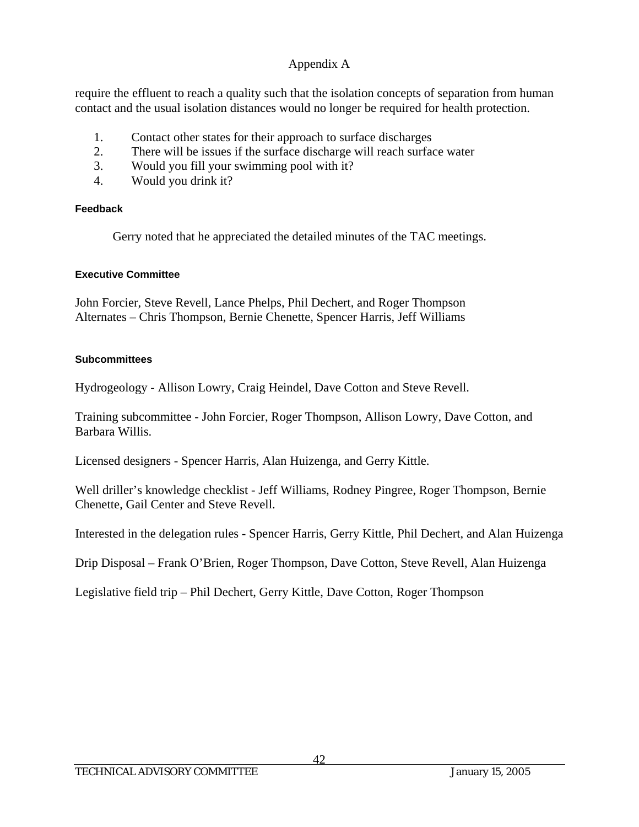require the effluent to reach a quality such that the isolation concepts of separation from human contact and the usual isolation distances would no longer be required for health protection.

- 1. Contact other states for their approach to surface discharges
- 2. There will be issues if the surface discharge will reach surface water
- 3. Would you fill your swimming pool with it?
- 4. Would you drink it?

### **Feedback**

Gerry noted that he appreciated the detailed minutes of the TAC meetings.

### **Executive Committee**

John Forcier, Steve Revell, Lance Phelps, Phil Dechert, and Roger Thompson Alternates – Chris Thompson, Bernie Chenette, Spencer Harris, Jeff Williams

### **Subcommittees**

Hydrogeology - Allison Lowry, Craig Heindel, Dave Cotton and Steve Revell.

Training subcommittee - John Forcier, Roger Thompson, Allison Lowry, Dave Cotton, and Barbara Willis.

Licensed designers - Spencer Harris, Alan Huizenga, and Gerry Kittle.

Well driller's knowledge checklist - Jeff Williams, Rodney Pingree, Roger Thompson, Bernie Chenette, Gail Center and Steve Revell.

Interested in the delegation rules - Spencer Harris, Gerry Kittle, Phil Dechert, and Alan Huizenga

Drip Disposal – Frank O'Brien, Roger Thompson, Dave Cotton, Steve Revell, Alan Huizenga

Legislative field trip – Phil Dechert, Gerry Kittle, Dave Cotton, Roger Thompson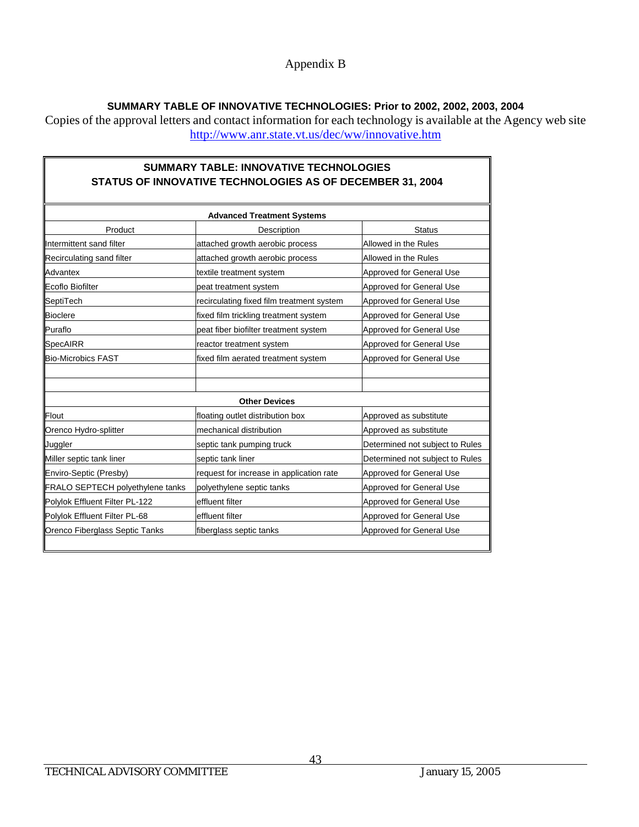### Appendix B

### **SUMMARY TABLE OF INNOVATIVE TECHNOLOGIES: Prior to 2002, 2002, 2003, 2004**

Copies of the approval letters and contact information for each technology is available at the Agency web site http://www.anr.state.vt.us/dec/ww/innovative.htm

|                                  | <b>SUMMARY TABLE: INNOVATIVE TECHNOLOGIES</b><br>STATUS OF INNOVATIVE TECHNOLOGIES AS OF DECEMBER 31, 2004 |                                 |  |  |  |
|----------------------------------|------------------------------------------------------------------------------------------------------------|---------------------------------|--|--|--|
|                                  | <b>Advanced Treatment Systems</b>                                                                          |                                 |  |  |  |
| Product                          | Description                                                                                                | <b>Status</b>                   |  |  |  |
| Intermittent sand filter         | attached growth aerobic process                                                                            | Allowed in the Rules            |  |  |  |
| Recirculating sand filter        | attached growth aerobic process                                                                            | Allowed in the Rules            |  |  |  |
| Advantex                         | textile treatment system                                                                                   | Approved for General Use        |  |  |  |
| <b>Ecoflo Biofilter</b>          | peat treatment system                                                                                      | Approved for General Use        |  |  |  |
| SeptiTech                        | recirculating fixed film treatment system                                                                  | Approved for General Use        |  |  |  |
| <b>Bioclere</b>                  | fixed film trickling treatment system                                                                      | Approved for General Use        |  |  |  |
| Puraflo                          | peat fiber biofilter treatment system                                                                      | Approved for General Use        |  |  |  |
| SpecAIRR                         | reactor treatment system                                                                                   | Approved for General Use        |  |  |  |
| <b>Bio-Microbics FAST</b>        | fixed film aerated treatment system                                                                        | <b>Approved for General Use</b> |  |  |  |
|                                  |                                                                                                            |                                 |  |  |  |
|                                  | <b>Other Devices</b>                                                                                       |                                 |  |  |  |
| Flout                            | floating outlet distribution box                                                                           | Approved as substitute          |  |  |  |
| Orenco Hydro-splitter            | mechanical distribution                                                                                    | Approved as substitute          |  |  |  |
| Juggler                          | septic tank pumping truck                                                                                  | Determined not subject to Rules |  |  |  |
| Miller septic tank liner         | septic tank liner                                                                                          | Determined not subject to Rules |  |  |  |
| Enviro-Septic (Presby)           | request for increase in application rate                                                                   | <b>Approved for General Use</b> |  |  |  |
| FRALO SEPTECH polyethylene tanks | polyethylene septic tanks                                                                                  | Approved for General Use        |  |  |  |
| Polylok Effluent Filter PL-122   | effluent filter                                                                                            | Approved for General Use        |  |  |  |
| Polylok Effluent Filter PL-68    | effluent filter                                                                                            | Approved for General Use        |  |  |  |
| Orenco Fiberglass Septic Tanks   | fiberglass septic tanks                                                                                    | Approved for General Use        |  |  |  |

F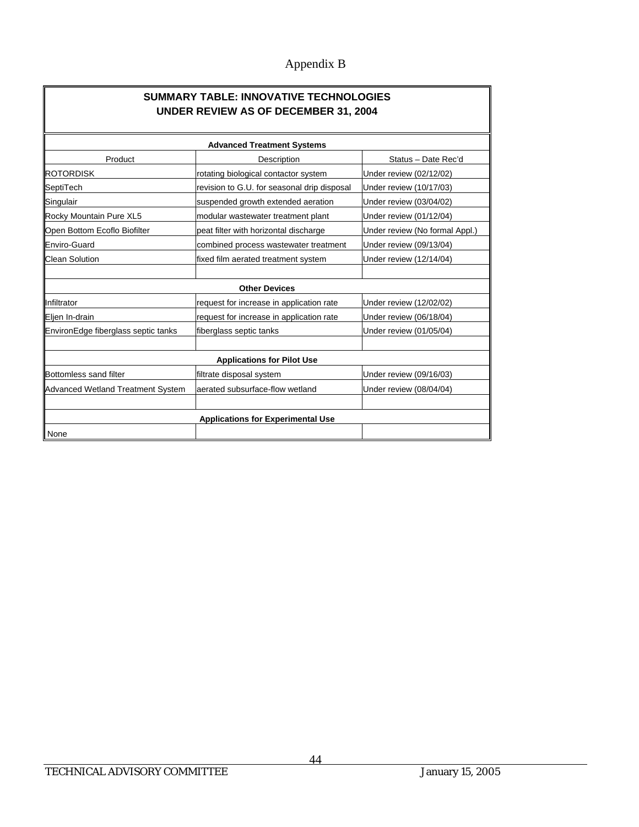# Appendix B

| <b>SUMMARY TABLE: INNOVATIVE TECHNOLOGIES</b><br><b>UNDER REVIEW AS OF DECEMBER 31, 2004</b> |                                             |                                |  |  |  |  |  |
|----------------------------------------------------------------------------------------------|---------------------------------------------|--------------------------------|--|--|--|--|--|
|                                                                                              | <b>Advanced Treatment Systems</b>           |                                |  |  |  |  |  |
| Product                                                                                      | Description                                 | Status - Date Rec'd            |  |  |  |  |  |
| <b>ROTORDISK</b>                                                                             | rotating biological contactor system        | Under review (02/12/02)        |  |  |  |  |  |
| SeptiTech                                                                                    | revision to G.U. for seasonal drip disposal | Under review (10/17/03)        |  |  |  |  |  |
| Singulair                                                                                    | suspended growth extended aeration          | Under review (03/04/02)        |  |  |  |  |  |
| Rocky Mountain Pure XL5                                                                      | modular wastewater treatment plant          | Under review (01/12/04)        |  |  |  |  |  |
| Open Bottom Ecoflo Biofilter                                                                 | peat filter with horizontal discharge       | Under review (No formal Appl.) |  |  |  |  |  |
| <b>Enviro-Guard</b>                                                                          | combined process wastewater treatment       | Under review (09/13/04)        |  |  |  |  |  |
| <b>Clean Solution</b>                                                                        | fixed film aerated treatment system         | Under review (12/14/04)        |  |  |  |  |  |
|                                                                                              |                                             |                                |  |  |  |  |  |
|                                                                                              | <b>Other Devices</b>                        |                                |  |  |  |  |  |
| Infiltrator                                                                                  | request for increase in application rate    | Under review (12/02/02)        |  |  |  |  |  |
| Eljen In-drain                                                                               | request for increase in application rate    | Under review (06/18/04)        |  |  |  |  |  |
| EnvironEdge fiberglass septic tanks                                                          | fiberglass septic tanks                     | Under review (01/05/04)        |  |  |  |  |  |
|                                                                                              |                                             |                                |  |  |  |  |  |
|                                                                                              | <b>Applications for Pilot Use</b>           |                                |  |  |  |  |  |
| Bottomless sand filter                                                                       | filtrate disposal system                    | Under review (09/16/03)        |  |  |  |  |  |
| Advanced Wetland Treatment System                                                            | aerated subsurface-flow wetland             | Under review (08/04/04)        |  |  |  |  |  |
|                                                                                              |                                             |                                |  |  |  |  |  |
|                                                                                              | <b>Applications for Experimental Use</b>    |                                |  |  |  |  |  |
| None                                                                                         |                                             |                                |  |  |  |  |  |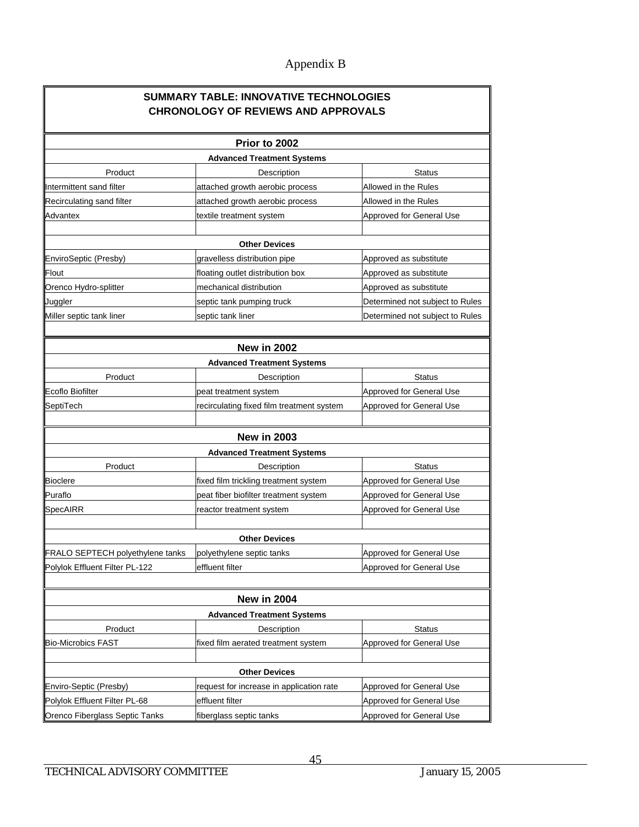# Appendix B

|                                         | <b>SUMMARY TABLE: INNOVATIVE TECHNOLOGIES</b><br><b>CHRONOLOGY OF REVIEWS AND APPROVALS</b> |                                 |  |  |
|-----------------------------------------|---------------------------------------------------------------------------------------------|---------------------------------|--|--|
|                                         | Prior to 2002                                                                               |                                 |  |  |
|                                         | <b>Advanced Treatment Systems</b>                                                           |                                 |  |  |
| Product                                 | Description                                                                                 | <b>Status</b>                   |  |  |
| Intermittent sand filter                | attached growth aerobic process                                                             | Allowed in the Rules            |  |  |
| Recirculating sand filter               | attached growth aerobic process                                                             | Allowed in the Rules            |  |  |
| Advantex                                | textile treatment system                                                                    | Approved for General Use        |  |  |
|                                         |                                                                                             |                                 |  |  |
|                                         | <b>Other Devices</b>                                                                        |                                 |  |  |
| EnviroSeptic (Presby)                   | gravelless distribution pipe                                                                | Approved as substitute          |  |  |
| Flout                                   | floating outlet distribution box                                                            | Approved as substitute          |  |  |
| Orenco Hydro-splitter                   | mechanical distribution                                                                     | Approved as substitute          |  |  |
| Juggler                                 | septic tank pumping truck                                                                   | Determined not subject to Rules |  |  |
| Miller septic tank liner                | septic tank liner                                                                           | Determined not subject to Rules |  |  |
|                                         |                                                                                             |                                 |  |  |
|                                         | <b>New in 2002</b><br><b>Advanced Treatment Systems</b>                                     |                                 |  |  |
| Product                                 | Description                                                                                 | <b>Status</b>                   |  |  |
| Ecoflo Biofilter                        | peat treatment system                                                                       | Approved for General Use        |  |  |
| SeptiTech                               | recirculating fixed film treatment system                                                   | Approved for General Use        |  |  |
|                                         |                                                                                             |                                 |  |  |
|                                         | <b>New in 2003</b>                                                                          |                                 |  |  |
|                                         | <b>Advanced Treatment Systems</b>                                                           |                                 |  |  |
| Product                                 | Description                                                                                 | <b>Status</b>                   |  |  |
| <b>Bioclere</b>                         | fixed film trickling treatment system                                                       | Approved for General Use        |  |  |
| Puraflo                                 | peat fiber biofilter treatment system                                                       | Approved for General Use        |  |  |
| SpecAIRR                                | reactor treatment system                                                                    | Approved for General Use        |  |  |
|                                         |                                                                                             |                                 |  |  |
|                                         | <b>Other Devices</b>                                                                        |                                 |  |  |
| <b>FRALO SEPTECH polyethylene tanks</b> | polyethylene septic tanks                                                                   | Approved for General Use        |  |  |
| Polylok Effluent Filter PL-122          | effluent filter                                                                             | Approved for General Use        |  |  |
|                                         |                                                                                             |                                 |  |  |
|                                         | <b>New in 2004</b>                                                                          |                                 |  |  |
|                                         | <b>Advanced Treatment Systems</b>                                                           |                                 |  |  |
| Product                                 | Description                                                                                 | <b>Status</b>                   |  |  |
| <b>Bio-Microbics FAST</b>               | fixed film aerated treatment system                                                         | Approved for General Use        |  |  |
|                                         |                                                                                             |                                 |  |  |
|                                         | <b>Other Devices</b>                                                                        |                                 |  |  |
| Enviro-Septic (Presby)                  | request for increase in application rate                                                    | Approved for General Use        |  |  |
| Polylok Effluent Filter PL-68           | effluent filter                                                                             | Approved for General Use        |  |  |
| Orenco Fiberglass Septic Tanks          | fiberglass septic tanks                                                                     | Approved for General Use        |  |  |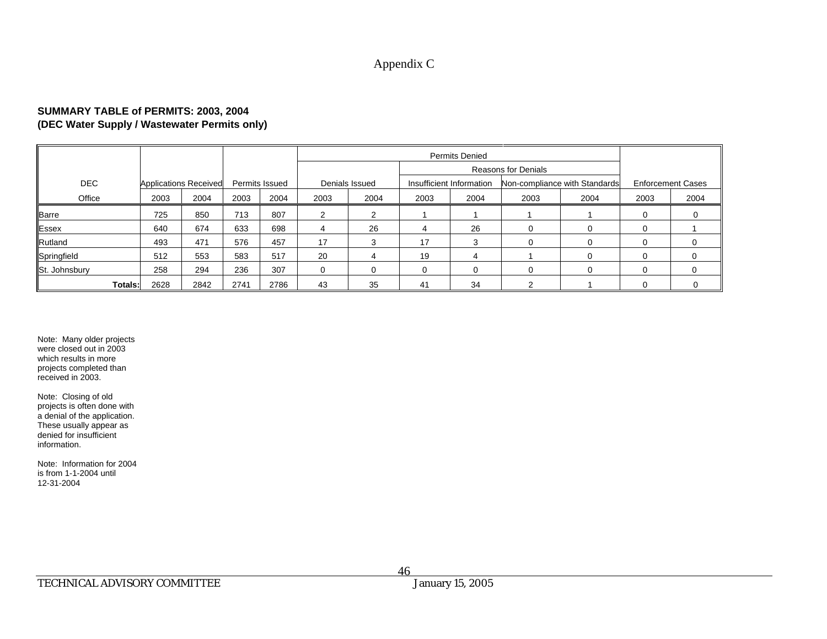### Appendix C

#### **SUMMARY TABLE of PERMITS: 2003, 2004 (DEC Water Supply / Wastewater Permits only)**

|               |      |                              |      |                |          | <b>Permits Denied</b>      |      |                          |      |                               |                          |          |
|---------------|------|------------------------------|------|----------------|----------|----------------------------|------|--------------------------|------|-------------------------------|--------------------------|----------|
|               |      |                              |      |                |          | <b>Reasons for Denials</b> |      |                          |      |                               |                          |          |
| <b>DEC</b>    |      | <b>Applications Received</b> |      | Permits Issued |          | Denials Issued             |      | Insufficient Information |      | Non-compliance with Standards | <b>Enforcement Cases</b> |          |
| Office        | 2003 | 2004                         | 2003 | 2004           | 2003     | 2004                       | 2003 | 2004                     | 2003 | 2004                          | 2003                     | 2004     |
| <b>Barre</b>  | 725  | 850                          | 713  | 807            |          | っ                          |      |                          |      |                               |                          |          |
| Essex         | 640  | 674                          | 633  | 698            | 4        | 26                         | 4    | 26                       |      |                               |                          |          |
| Rutland       | 493  | 471                          | 576  | 457            | 17       | 3                          | 17   | 3                        |      |                               |                          | $\Omega$ |
| Springfield   | 512  | 553                          | 583  | 517            | 20       | 4                          | 19   |                          |      |                               |                          | 0        |
| St. Johnsbury | 258  | 294                          | 236  | 307            | $\Omega$ | $\Omega$                   |      |                          |      |                               |                          | $\Omega$ |
| Totals:       | 2628 | 2842                         | 2741 | 2786           | 43       | 35                         | 41   | 34                       | っ    |                               |                          |          |

Note: Many older projects were closed out in 2003 which results in moreprojects completed than received in 2003.

Note: Closing of old projects is often done with a denial of the application. These usually appear as denied for insufficient information.

Note: Information for 2004 is from 1-1-2004 until 12-31-2004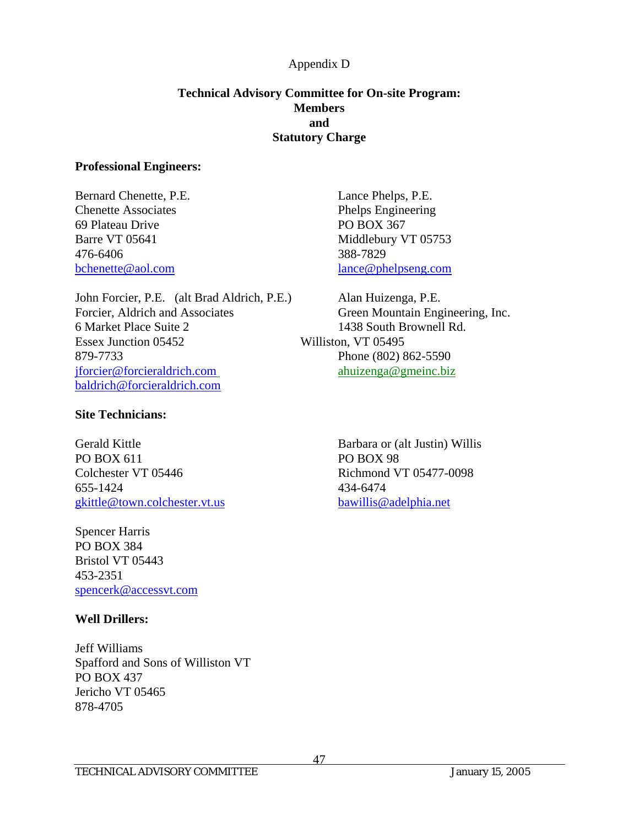### **Technical Advisory Committee for On-site Program: Members and Statutory Charge**

#### **Professional Engineers:**

Bernard Chenette, P.E. Lance Phelps, P.E. Chenette Associates Phelps Engineering 69 Plateau Drive PO BOX 367 476-6406 388-7829

John Forcier, P.E. (alt Brad Aldrich, P.E.) Alan Huizenga, P.E. Forcier, Aldrich and Associates Green Mountain Engineering, Inc. 6 Market Place Suite 2 1438 South Brownell Rd. Essex Junction 05452 Williston, VT 05495 879-7733 Phone (802) 862-5590 jforcier@forcieraldrich.com ahuizenga@gmeinc.biz baldrich@forcieraldrich.com

#### **Site Technicians:**

Gerald Kittle Barbara or (alt Justin) Willis PO BOX 611 PO BOX 98 Colchester VT 05446 Richmond VT 05477-0098 655-1424 434-6474 gkittle@town.colchester.vt.us bawillis@adelphia.net

Spencer Harris PO BOX 384 Bristol VT 05443 453-2351 spencerk@accessvt.com

### **Well Drillers:**

Jeff Williams Spafford and Sons of Williston VT PO BOX 437 Jericho VT 05465 878-4705

Barre VT 05641 Middlebury VT 05753 bchenette@aol.com lance@phelpseng.com

47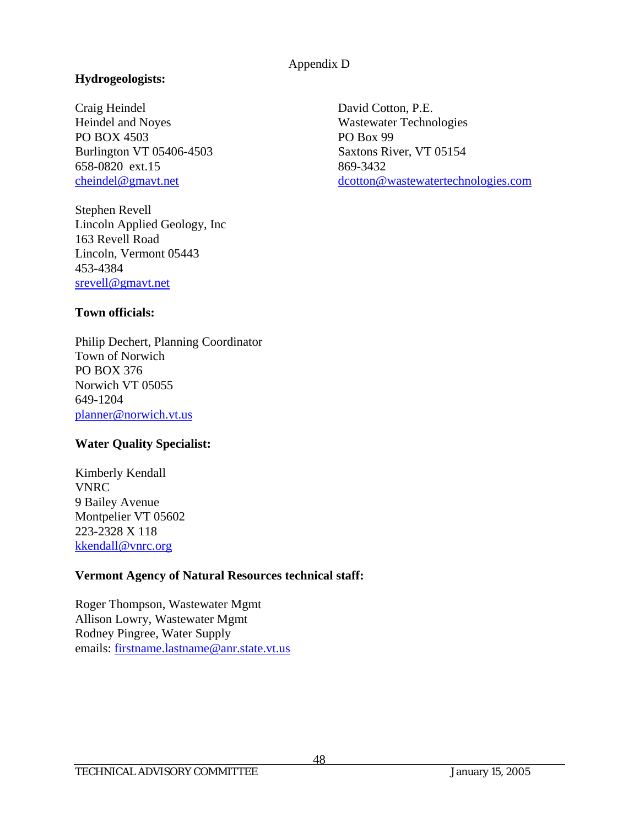### **Hydrogeologists:**

Craig Heindel David Cotton, P.E. Heindel and Noyes Wastewater Technologies PO BOX 4503 PO Box 99 Burlington VT 05406-4503 Saxtons River, VT 05154 658-0820 ext.15 869-3432

Stephen Revell Lincoln Applied Geology, Inc 163 Revell Road Lincoln, Vermont 05443 453-4384 srevell@gmavt.net

cheindel@gmavt.net dcotton@wastewatertechnologies.com

### **Town officials:**

Philip Dechert, Planning Coordinator Town of Norwich PO BOX 376 Norwich VT 05055 649-1204 planner@norwich.vt.us

### **Water Quality Specialist:**

Kimberly Kendall VNRC 9 Bailey Avenue Montpelier VT 05602 223-2328 X 118 kkendall@vnrc.org

### **Vermont Agency of Natural Resources technical staff:**

Roger Thompson, Wastewater Mgmt Allison Lowry, Wastewater Mgmt Rodney Pingree, Water Supply emails: firstname.lastname@anr.state.vt.us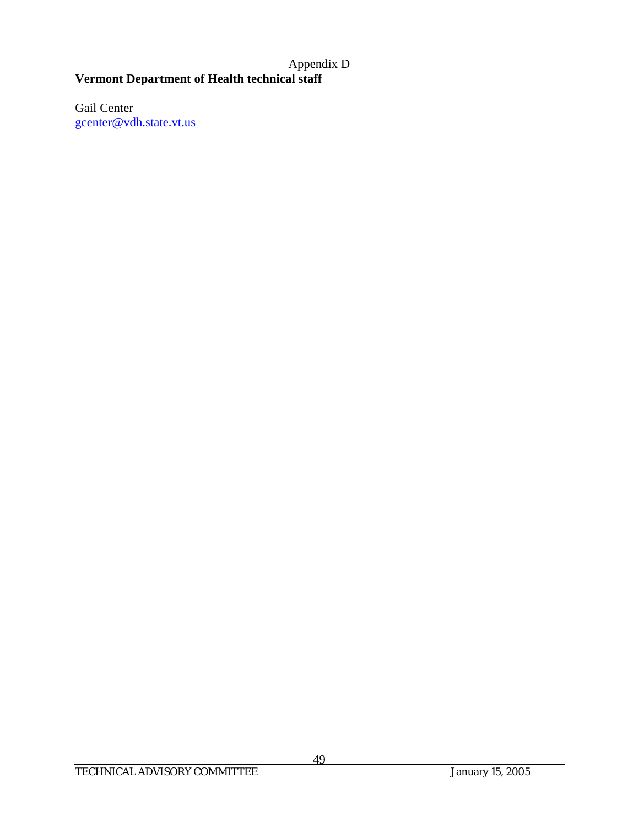# **Vermont Department of Health technical staff**

Gail Center gcenter@vdh.state.vt.us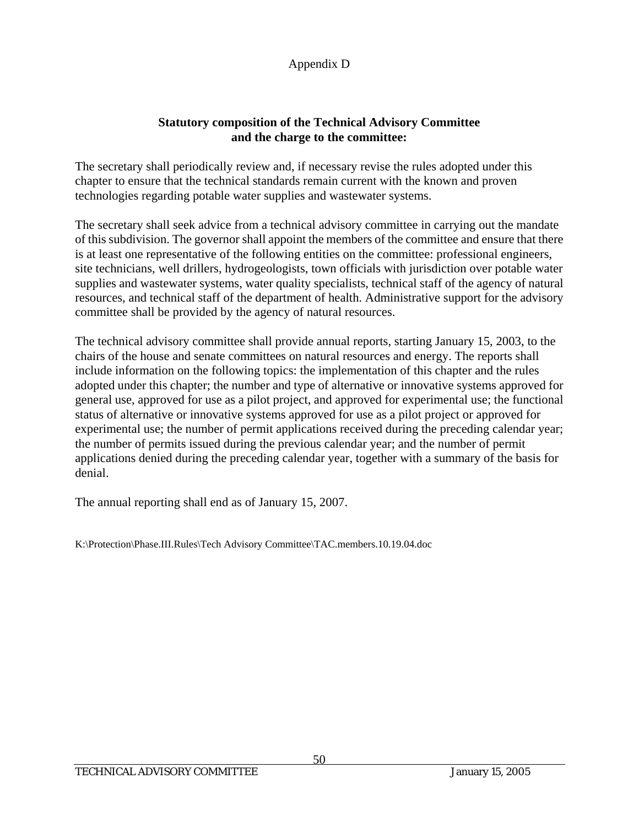### **Statutory composition of the Technical Advisory Committee and the charge to the committee:**

The secretary shall periodically review and, if necessary revise the rules adopted under this chapter to ensure that the technical standards remain current with the known and proven technologies regarding potable water supplies and wastewater systems.

The secretary shall seek advice from a technical advisory committee in carrying out the mandate of this subdivision. The governor shall appoint the members of the committee and ensure that there is at least one representative of the following entities on the committee: professional engineers, site technicians, well drillers, hydrogeologists, town officials with jurisdiction over potable water supplies and wastewater systems, water quality specialists, technical staff of the agency of natural resources, and technical staff of the department of health. Administrative support for the advisory committee shall be provided by the agency of natural resources.

The technical advisory committee shall provide annual reports, starting January 15, 2003, to the chairs of the house and senate committees on natural resources and energy. The reports shall include information on the following topics: the implementation of this chapter and the rules adopted under this chapter; the number and type of alternative or innovative systems approved for general use, approved for use as a pilot project, and approved for experimental use; the functional status of alternative or innovative systems approved for use as a pilot project or approved for experimental use; the number of permit applications received during the preceding calendar year; the number of permits issued during the previous calendar year; and the number of permit applications denied during the preceding calendar year, together with a summary of the basis for denial.

The annual reporting shall end as of January 15, 2007.

K:\Protection\Phase.III.Rules\Tech Advisory Committee\TAC.members.10.19.04.doc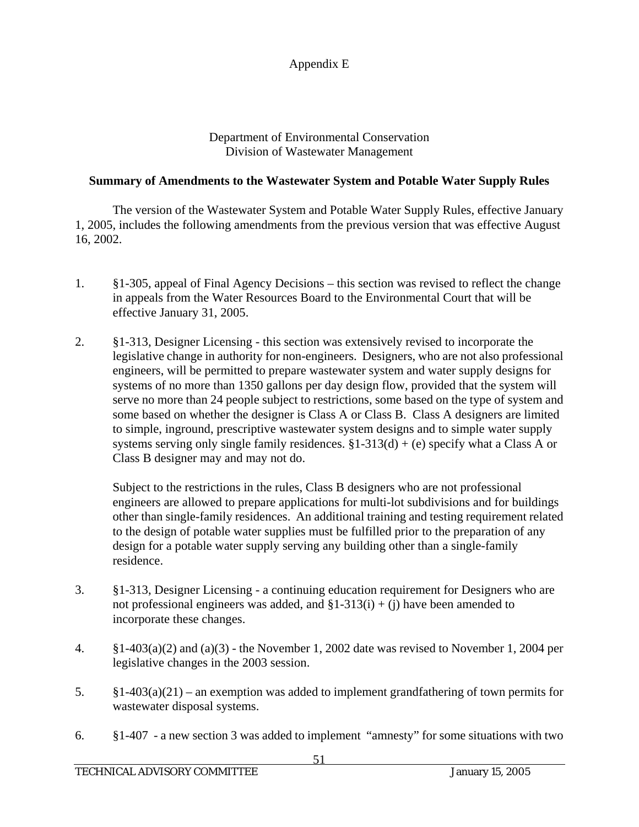Appendix E

Department of Environmental Conservation Division of Wastewater Management

### **Summary of Amendments to the Wastewater System and Potable Water Supply Rules**

The version of the Wastewater System and Potable Water Supply Rules, effective January 1, 2005, includes the following amendments from the previous version that was effective August 16, 2002.

- 1. §1-305, appeal of Final Agency Decisions this section was revised to reflect the change in appeals from the Water Resources Board to the Environmental Court that will be effective January 31, 2005.
- 2. §1-313, Designer Licensing this section was extensively revised to incorporate the legislative change in authority for non-engineers. Designers, who are not also professional engineers, will be permitted to prepare wastewater system and water supply designs for systems of no more than 1350 gallons per day design flow, provided that the system will serve no more than 24 people subject to restrictions, some based on the type of system and some based on whether the designer is Class A or Class B. Class A designers are limited to simple, inground, prescriptive wastewater system designs and to simple water supply systems serving only single family residences.  $\S1-313(d) + (e)$  specify what a Class A or Class B designer may and may not do.

Subject to the restrictions in the rules, Class B designers who are not professional engineers are allowed to prepare applications for multi-lot subdivisions and for buildings other than single-family residences. An additional training and testing requirement related to the design of potable water supplies must be fulfilled prior to the preparation of any design for a potable water supply serving any building other than a single-family residence.

- 3. §1-313, Designer Licensing a continuing education requirement for Designers who are not professional engineers was added, and  $\S1-313(i) + (i)$  have been amended to incorporate these changes.
- 4. §1-403(a)(2) and (a)(3) the November 1, 2002 date was revised to November 1, 2004 per legislative changes in the 2003 session.
- 5.  $\S1-403(a)(21)$  an exemption was added to implement grandfathering of town permits for wastewater disposal systems.
- 6. §1-407 a new section 3 was added to implement "amnesty" for some situations with two